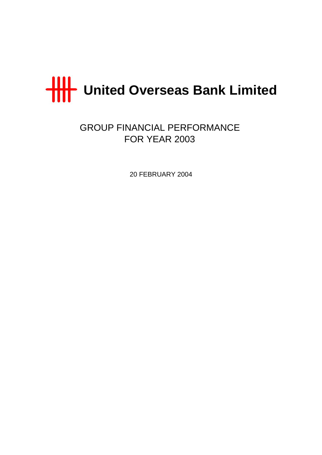

GROUP FINANCIAL PERFORMANCE FOR YEAR 2003

20 FEBRUARY 2004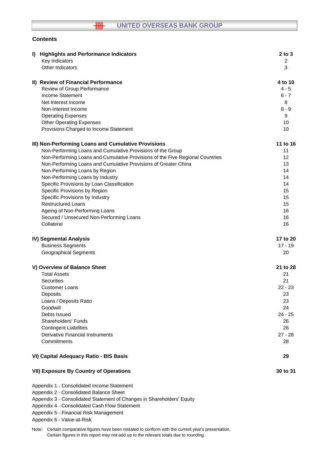#### $\overline{\text{III}}$ **UNITED OVERSEAS BANK GROUP**

## **Contents**

| I) | <b>Highlights and Performance Indicators</b>                                  | $2$ to $3$ |
|----|-------------------------------------------------------------------------------|------------|
|    | Key Indicators                                                                | 2          |
|    | Other Indicators                                                              | 3          |
|    | II) Review of Financial Performance                                           | 4 to 10    |
|    | Review of Group Performance                                                   | $4 - 5$    |
|    | <b>Income Statement</b>                                                       | $6 - 7$    |
|    | Net Interest Income                                                           | 8          |
|    | Non-Interest Income                                                           | $8 - 9$    |
|    | <b>Operating Expenses</b>                                                     | 9          |
|    | <b>Other Operating Expenses</b>                                               | 10         |
|    | Provisions Charged to Income Statement                                        | 10         |
|    | III) Non-Performing Loans and Cumulative Provisions                           | 11 to 16   |
|    | Non-Performing Loans and Cumulative Provisions of the Group                   | 11         |
|    | Non-Performing Loans and Cumulative Provisions of the Five Regional Countries | 12         |
|    | Non-Performing Loans and Cumulative Provisions of Greater China               | 13         |
|    | Non-Performing Loans by Region                                                | 14         |
|    | Non-Performing Loans by Industry                                              | 14         |
|    | Specific Provisions by Loan Classification                                    | 14         |
|    | Specific Provisions by Region                                                 | 15         |
|    | Specific Provisions by Industry                                               | 15         |
|    | <b>Restructured Loans</b>                                                     | 15         |
|    | Ageing of Non-Performing Loans                                                | 16         |
|    | Secured / Unsecured Non-Performing Loans                                      | 16         |
|    | Collateral                                                                    | 16         |
|    | IV) Segmental Analysis                                                        | 17 to 20   |
|    | <b>Business Segments</b>                                                      | $17 - 19$  |
|    | <b>Geographical Segments</b>                                                  | 20         |
|    | V) Overview of Balance Sheet                                                  | 21 to 28   |
|    | <b>Total Assets</b>                                                           | 21         |
|    | <b>Securities</b>                                                             | 21         |
|    | <b>Customer Loans</b>                                                         | $22 - 23$  |
|    | Deposits                                                                      | 23         |
|    | Loans / Deposits Ratio                                                        | 23         |
|    | Goodwill                                                                      | 24         |
|    | Debts Issued                                                                  | $24 - 25$  |
|    | <b>Shareholders' Funds</b>                                                    | 26         |
|    | <b>Contingent Liabilities</b>                                                 | 26         |
|    | <b>Derivative Financial Instruments</b>                                       | $27 - 28$  |
|    | Commitments                                                                   | 28         |
|    | VI) Capital Adequacy Ratio - BIS Basis                                        | 29         |
|    | <b>VII) Exposure By Country of Operations</b>                                 | 30 to 31   |

Appendix 1 - Consolidated Income Statement

Appendix 2 - Consolidated Balance Sheet

Appendix 3 - Consolidated Statement of Changes in Shareholders' Equity

Appendix 4 - Consolidated Cash Flow Statement

Appendix 5 - Financial Risk Management

Appendix 6 - Value-at-Risk

Note: Certain comparative figures have been restated to conform with the current year's presentation. Certain figures in this report may not add up to the relevant totals due to rounding.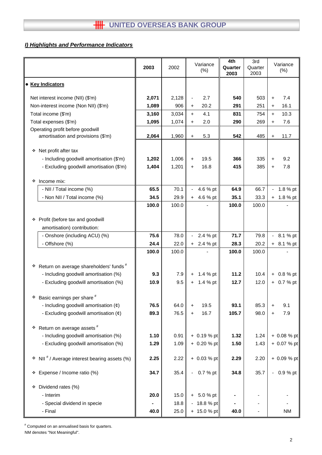# *I) Highlights and Performance Indicators*

|                                                             | 2003  | 2002  |                              | Variance<br>(% ) | 4th<br>Quarter<br>2003 | 3rd<br>Quarter<br>2003 | Variance<br>(% )           |
|-------------------------------------------------------------|-------|-------|------------------------------|------------------|------------------------|------------------------|----------------------------|
| • Key Indicators                                            |       |       |                              |                  |                        |                        |                            |
| Net interest income (NII) (\$'m)                            | 2,071 | 2,128 | $\qquad \qquad \blacksquare$ | 2.7              | 540                    | 503                    | 7.4<br>$\ddot{}$           |
| Non-interest income (Non NII) (\$'m)                        | 1,089 | 906   | +                            | 20.2             | 291                    | 251                    | 16.1<br>$\ddot{}$          |
| Total income (\$'m)                                         | 3,160 | 3,034 | $\ddot{}$                    | 4.1              | 831                    | 754                    | 10.3<br>$\ddot{}$          |
| Total expenses (\$'m)                                       | 1,095 | 1,074 | $\ddot{}$                    | 2.0              | 290                    | 269                    | 7.6<br>$\ddot{}$           |
| Operating profit before goodwill                            |       |       |                              |                  |                        |                        |                            |
| amortisation and provisions (\$'m)                          | 2,064 | 1,960 | $\ddot{}$                    | 5.3              | 542                    | 485                    | 11.7<br>$\ddot{}$          |
| Net profit after tax<br>❖                                   |       |       |                              |                  |                        |                        |                            |
| - Including goodwill amortisation (\$'m)                    | 1,202 | 1,006 | +                            | 19.5             | 366                    | 335                    | 9.2<br>$\ddot{}$           |
| - Excluding goodwill amortisation (\$'m)                    | 1,404 | 1,201 | $\ddot{}$                    | 16.8             | 415                    | 385                    | 7.8<br>$\ddot{}$           |
|                                                             |       |       |                              |                  |                        |                        |                            |
| Income mix:<br>٠                                            |       |       |                              |                  |                        |                        |                            |
| - NII / Total income (%)                                    | 65.5  | 70.1  |                              | 4.6 % pt         | 64.9                   | 66.7                   | 1.8 % pt<br>$\blacksquare$ |
| - Non NII / Total income (%)                                | 34.5  | 29.9  |                              | $+ 4.6 %$ pt     | 35.1                   | 33.3                   | $+ 1.8 \%$ pt              |
|                                                             | 100.0 | 100.0 |                              |                  | 100.0                  | 100.0                  |                            |
|                                                             |       |       |                              |                  |                        |                        |                            |
| Profit (before tax and goodwill<br>❖                        |       |       |                              |                  |                        |                        |                            |
| amortisation) contribution:                                 |       |       |                              |                  |                        |                        |                            |
| - Onshore (including ACU) (%)                               | 75.6  | 78.0  | $\blacksquare$               | 2.4 % pt         | 71.7                   | 79.8                   | 8.1 % pt<br>$\blacksquare$ |
| - Offshore (%)                                              | 24.4  | 22.0  | $\pm$                        | 2.4 % pt         | 28.3                   | 20.2                   | 8.1 % pt<br>$+$            |
|                                                             | 100.0 | 100.0 |                              |                  | 100.0                  | 100.0                  |                            |
|                                                             |       |       |                              |                  |                        |                        |                            |
| Return on average shareholders' funds #<br>❖                |       |       |                              |                  |                        |                        |                            |
| - Including goodwill amortisation (%)                       | 9.3   | 7.9   | +                            | 1.4 % pt         | 11.2                   | 10.4                   | $+ 0.8 %$ pt               |
| - Excluding goodwill amortisation (%)                       | 10.9  | 9.5   | $\ddot{}$                    | 1.4 % pt         | 12.7                   | 12.0                   | $+ 0.7 %$ pt               |
| Basic earnings per share #<br>❖                             |       |       |                              |                  |                        |                        |                            |
| - Including goodwill amortisation $(e)$                     | 76.5  | 64.0  | $\ddag$                      | 19.5             | 93.1                   | 85.3                   | 9.1<br>+                   |
| - Excluding goodwill amortisation $(\phi)$                  | 89.3  | 76.5  | $\ddot{}$                    | 16.7             | 105.7                  | 98.0                   | 7.9<br>$\ddot{}$           |
|                                                             |       |       |                              |                  |                        |                        |                            |
| Return on average assets <sup>#</sup><br>❖                  |       |       |                              |                  |                        |                        |                            |
| - Including goodwill amortisation (%)                       | 1.10  | 0.91  |                              | $+ 0.19 %$ pt    | 1.32                   | 1.24                   | + 0.08 % pt                |
| - Excluding goodwill amortisation (%)                       | 1.29  | 1.09  |                              | $+ 0.20 %$ pt    | 1.50                   | 1.43                   | + 0.07 % pt                |
|                                                             |       |       |                              |                  |                        |                        |                            |
| NII <sup>#</sup> / Average interest bearing assets (%)<br>۰ | 2.25  | 2.22  |                              | $+ 0.03 %$ pt    | 2.29                   | 2.20                   | + 0.09 % pt                |
| Expense / Income ratio (%)<br>❖                             | 34.7  | 35.4  |                              | $-0.7%$ pt       | 34.8                   | 35.7                   | 0.9 % pt<br>٠              |
|                                                             |       |       |                              |                  |                        |                        |                            |
| Dividend rates (%)<br>❖                                     |       |       |                              |                  |                        |                        |                            |
| - Interim                                                   | 20.0  | 15.0  | $+$                          | 5.0 % pt         |                        |                        |                            |
| - Special dividend in specie                                |       | 18.8  | $\qquad \qquad \blacksquare$ | 18.8 % pt        |                        |                        |                            |
| - Final                                                     | 40.0  | 25.0  |                              | + 15.0 % pt      | 40.0                   |                        | <b>NM</b>                  |

# Computed on an annualised basis for quarters.

NM denotes "Not Meaningful".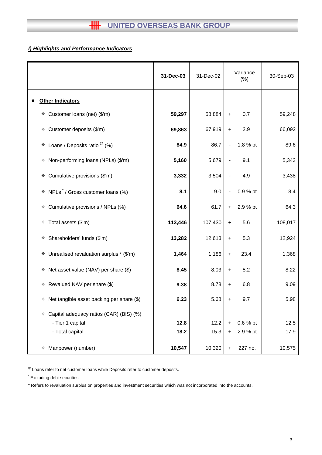# *I) Highlights and Performance Indicators*

|                                                                        | 31-Dec-03 | 31-Dec-02 | Variance<br>(% ) |          |         |  | 30-Sep-03 |  |
|------------------------------------------------------------------------|-----------|-----------|------------------|----------|---------|--|-----------|--|
| <b>Other Indicators</b>                                                |           |           |                  |          |         |  |           |  |
| Customer loans (net) (\$'m)<br>❖                                       | 59,297    | 58,884    | $\ddot{}$        | 0.7      | 59,248  |  |           |  |
| Customer deposits (\$'m)<br>❖                                          | 69,863    | 67,919    | +                | 2.9      | 66,092  |  |           |  |
| Loans / Deposits ratio $^{\circledR}$ (%)<br>٠                         | 84.9      | 86.7      |                  | 1.8 % pt | 89.6    |  |           |  |
| Non-performing loans (NPLs) (\$'m)<br>۰                                | 5,160     | 5,679     |                  | 9.1      | 5,343   |  |           |  |
| Cumulative provisions (\$'m)<br>❖                                      | 3,332     | 3,504     |                  | 4.9      | 3,438   |  |           |  |
| $\cdot$ NPLs <sup><math>\wedge</math></sup> / Gross customer loans (%) | 8.1       | 9.0       |                  | 0.9 % pt | 8.4     |  |           |  |
| Cumulative provisions / NPLs (%)<br>۰                                  | 64.6      | 61.7      | $\ddot{}$        | 2.9 % pt | 64.3    |  |           |  |
| Total assets (\$'m)<br>٠                                               | 113,446   | 107,430   | +                | 5.6      | 108,017 |  |           |  |
| Shareholders' funds (\$'m)<br>۰                                        | 13,282    | 12,613    | +                | 5.3      | 12,924  |  |           |  |
| Unrealised revaluation surplus * (\$'m)<br>٠                           | 1,464     | 1,186     | +                | 23.4     | 1,368   |  |           |  |
| Net asset value (NAV) per share (\$)<br>۰                              | 8.45      | 8.03      | +                | 5.2      | 8.22    |  |           |  |
| Revalued NAV per share (\$)<br>❖                                       | 9.38      | 8.78      | +                | 6.8      | 9.09    |  |           |  |
| Net tangible asset backing per share (\$)<br>۰                         | 6.23      | 5.68      | +                | 9.7      | 5.98    |  |           |  |
| Capital adequacy ratios (CAR) (BIS) (%)                                |           |           |                  |          |         |  |           |  |
| - Tier 1 capital                                                       | 12.8      | 12.2      |                  | 0.6 % pt | 12.5    |  |           |  |
| - Total capital                                                        | 18.2      | 15.3      | $\pm$            | 2.9 % pt | 17.9    |  |           |  |
| Manpower (number)<br>❖                                                 | 10,547    | 10,320    | +                | 227 no.  | 10,575  |  |           |  |

 $<sup>®</sup>$  Loans refer to net customer loans while Deposits refer to customer deposits.</sup>

^ Excluding debt securities.

\* Refers to revaluation surplus on properties and investment securities which was not incorporated into the accounts.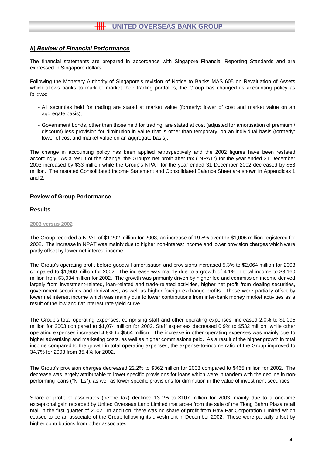The financial statements are prepared in accordance with Singapore Financial Reporting Standards and are expressed in Singapore dollars.

Following the Monetary Authority of Singapore's revision of Notice to Banks MAS 605 on Revaluation of Assets which allows banks to mark to market their trading portfolios, the Group has changed its accounting policy as follows:

- All securities held for trading are stated at market value (formerly: lower of cost and market value on an aggregate basis);
- Government bonds, other than those held for trading, are stated at cost (adjusted for amortisation of premium / discount) less provision for diminution in value that is other than temporary, on an individual basis (formerly: lower of cost and market value on an aggregate basis).

The change in accounting policy has been applied retrospectively and the 2002 figures have been restated accordingly. As a result of the change, the Group's net profit after tax ("NPAT") for the year ended 31 December 2003 increased by \$33 million while the Group's NPAT for the year ended 31 December 2002 decreased by \$58 million. The restated Consolidated Income Statement and Consolidated Balance Sheet are shown in Appendices 1 and 2.

## **Review of Group Performance**

#### **Results**

#### **2003 versus 2002**

The Group recorded a NPAT of \$1,202 million for 2003, an increase of 19.5% over the \$1,006 million registered for 2002. The increase in NPAT was mainly due to higher non-interest income and lower provision charges which were partly offset by lower net interest income.

The Group's operating profit before goodwill amortisation and provisions increased 5.3% to \$2,064 million for 2003 compared to \$1,960 million for 2002. The increase was mainly due to a growth of 4.1% in total income to \$3,160 million from \$3,034 million for 2002. The growth was primarily driven by higher fee and commission income derived largely from investment-related, loan-related and trade-related activities, higher net profit from dealing securities, government securities and derivatives, as well as higher foreign exchange profits. These were partially offset by lower net interest income which was mainly due to lower contributions from inter-bank money market activities as a result of the low and flat interest rate yield curve.

The Group's total operating expenses, comprising staff and other operating expenses, increased 2.0% to \$1,095 million for 2003 compared to \$1,074 million for 2002. Staff expenses decreased 0.9% to \$532 million, while other operating expenses increased 4.8% to \$564 million. The increase in other operating expenses was mainly due to higher advertising and marketing costs, as well as higher commissions paid. As a result of the higher growth in total income compared to the growth in total operating expenses, the expense-to-income ratio of the Group improved to 34.7% for 2003 from 35.4% for 2002.

The Group's provision charges decreased 22.2% to \$362 million for 2003 compared to \$465 million for 2002. The decrease was largely attributable to lower specific provisions for loans which were in tandem with the decline in nonperforming loans ("NPLs"), as well as lower specific provisions for diminution in the value of investment securities.

Share of profit of associates (before tax) declined 13.1% to \$107 million for 2003, mainly due to a one-time exceptional gain recorded by United Overseas Land Limited that arose from the sale of the Tiong Bahru Plaza retail mall in the first quarter of 2002. In addition, there was no share of profit from Haw Par Corporation Limited which ceased to be an associate of the Group following its divestment in December 2002. These were partially offset by higher contributions from other associates.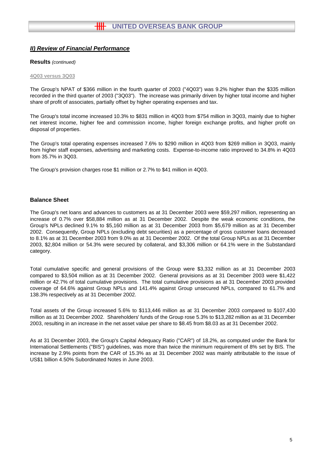#### **Results** *(continued)*

#### **4Q03 versus 3Q03**

The Group's NPAT of \$366 million in the fourth quarter of 2003 ("4Q03") was 9.2% higher than the \$335 million recorded in the third quarter of 2003 ("3Q03"). The increase was primarily driven by higher total income and higher share of profit of associates, partially offset by higher operating expenses and tax.

The Group's total income increased 10.3% to \$831 million in 4Q03 from \$754 million in 3Q03, mainly due to higher net interest income, higher fee and commission income, higher foreign exchange profits, and higher profit on disposal of properties.

The Group's total operating expenses increased 7.6% to \$290 million in 4Q03 from \$269 million in 3Q03, mainly from higher staff expenses, advertising and marketing costs. Expense-to-income ratio improved to 34.8% in 4Q03 from 35.7% in 3Q03.

The Group's provision charges rose \$1 million or 2.7% to \$41 million in 4Q03.

#### **Balance Sheet**

The Group's net loans and advances to customers as at 31 December 2003 were \$59,297 million, representing an increase of 0.7% over \$58,884 million as at 31 December 2002. Despite the weak economic conditions, the Group's NPLs declined 9.1% to \$5,160 million as at 31 December 2003 from \$5,679 million as at 31 December 2002. Consequently, Group NPLs (excluding debt securities) as a percentage of gross customer loans decreased to 8.1% as at 31 December 2003 from 9.0% as at 31 December 2002. Of the total Group NPLs as at 31 December 2003, \$2,804 million or 54.3% were secured by collateral, and \$3,306 million or 64.1% were in the Substandard category.

Total cumulative specific and general provisions of the Group were \$3,332 million as at 31 December 2003 compared to \$3,504 million as at 31 December 2002. General provisions as at 31 December 2003 were \$1,422 million or 42.7% of total cumulative provisions. The total cumulative provisions as at 31 December 2003 provided coverage of 64.6% against Group NPLs and 141.4% against Group unsecured NPLs, compared to 61.7% and 138.3% respectively as at 31 December 2002.

Total assets of the Group increased 5.6% to \$113,446 million as at 31 December 2003 compared to \$107,430 million as at 31 December 2002. Shareholders' funds of the Group rose 5.3% to \$13,282 million as at 31 December 2003, resulting in an increase in the net asset value per share to \$8.45 from \$8.03 as at 31 December 2002.

As at 31 December 2003, the Group's Capital Adequacy Ratio ("CAR") of 18.2%, as computed under the Bank for International Settlements ("BIS") guidelines, was more than twice the minimum requirement of 8% set by BIS. The increase by 2.9% points from the CAR of 15.3% as at 31 December 2002 was mainly attributable to the issue of US\$1 billion 4.50% Subordinated Notes in June 2003.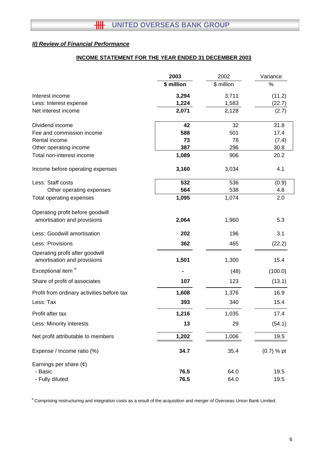## **INCOME STATEMENT FOR THE YEAR ENDED 31 DECEMBER 2003**

|                                                                | 2003       | 2002       | Variance     |
|----------------------------------------------------------------|------------|------------|--------------|
|                                                                | \$ million | \$ million | %            |
| Interest income                                                | 3,294      | 3,711      | (11.2)       |
| Less: Interest expense                                         | 1,224      | 1,583      | (22.7)       |
| Net interest income                                            | 2,071      | 2,128      | (2.7)        |
| Dividend income                                                | 42         | 32         | 31.8         |
| Fee and commission income                                      | 588        | 501        | 17.4         |
| Rental income                                                  | 73         | 78         | (7.4)        |
| Other operating income                                         | 387        | 296        | 30.8         |
| Total non-interest income                                      | 1,089      | 906        | 20.2         |
| Income before operating expenses                               | 3,160      | 3,034      | 4.1          |
| Less: Staff costs                                              | 532        | 536        | (0.9)        |
| Other operating expenses                                       | 564        | 538        | 4.8          |
| Total operating expenses                                       | 1,095      | 1,074      | 2.0          |
| Operating profit before goodwill                               |            |            |              |
| amortisation and provisions                                    | 2,064      | 1,960      | 5.3          |
| Less: Goodwill amortisation                                    | 202        | 196        | 3.1          |
| Less: Provisions                                               | 362        | 465        | (22.2)       |
| Operating profit after goodwill<br>amortisation and provisions | 1,501      | 1,300      | 15.4         |
| Exceptional item <sup>#</sup>                                  |            | (48)       | (100.0)      |
| Share of profit of associates                                  | 107        | 123        | (13.1)       |
| Profit from ordinary activities before tax                     | 1,608      | 1,376      | 16.9         |
| Less: Tax                                                      | 393        | 340        | 15.4         |
| Profit after tax                                               | 1,216      | 1,035      | 17.4         |
| Less: Minority interests                                       | 13         | 29         | (54.1)       |
| Net profit attributable to members                             | 1,202      | 1,006      | 19.5         |
| Expense / Income ratio (%)                                     | 34.7       | 35.4       | $(0.7)$ % pt |
| Earnings per share $(e)$                                       |            |            |              |
| - Basic                                                        | 76.5       | 64.0       | 19.5         |
| - Fully diluted                                                | 76.5       | 64.0       | 19.5         |

# Comprising restructuring and integration costs as a result of the acquisition and merger of Overseas Union Bank Limited.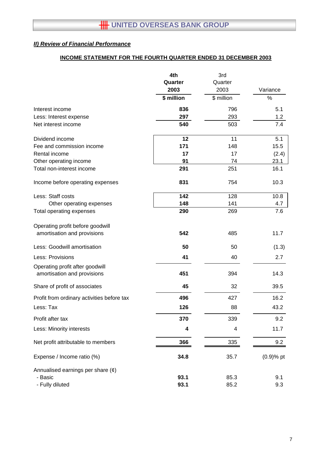# **INCOME STATEMENT FOR THE FOURTH QUARTER ENDED 31 DECEMBER 2003**

|                                            | 4th<br>Quarter | 3rd<br>Quarter |              |
|--------------------------------------------|----------------|----------------|--------------|
|                                            | 2003           | 2003           | Variance     |
|                                            | \$ million     | \$ million     | %            |
| Interest income                            | 836            | 796            | 5.1          |
| Less: Interest expense                     | 297            | 293            | 1.2          |
| Net interest income                        | 540            | 503            | 7.4          |
| Dividend income                            | 12             | 11             | 5.1          |
| Fee and commission income                  | 171            | 148            | 15.5         |
| Rental income                              | 17             | 17             | (2.4)        |
| Other operating income                     | 91             | 74             | 23.1         |
| Total non-interest income                  | 291            | 251            | 16.1         |
| Income before operating expenses           | 831            | 754            | 10.3         |
| Less: Staff costs                          | 142            | 128            | 10.8         |
| Other operating expenses                   | 148            | 141            | 4.7          |
| Total operating expenses                   | 290            | 269            | 7.6          |
| Operating profit before goodwill           |                |                |              |
| amortisation and provisions                | 542            | 485            | 11.7         |
| Less: Goodwill amortisation                | 50             | 50             | (1.3)        |
| Less: Provisions                           | 41             | 40             | 2.7          |
| Operating profit after goodwill            |                |                |              |
| amortisation and provisions                | 451            | 394            | 14.3         |
| Share of profit of associates              | 45             | 32             | 39.5         |
| Profit from ordinary activities before tax | 496            | 427            | 16.2         |
| Less: Tax                                  | 126            | 88             | 43.2         |
| Profit after tax                           | 370            | 339            | 9.2          |
| Less: Minority interests                   | 4              | 4              | 11.7         |
| Net profit attributable to members         | 366            | 335            | 9.2          |
| Expense / Income ratio (%)                 | 34.8           | 35.7           | $(0.9)$ % pt |
| Annualised earnings per share $(\phi)$     |                |                |              |
| - Basic                                    | 93.1           | 85.3           | 9.1          |
| - Fully diluted                            | 93.1           | 85.2           | 9.3          |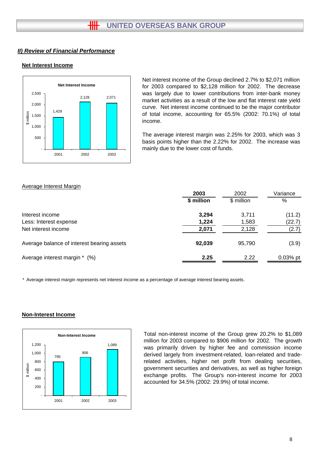## **Net Interest Income**



Net interest income of the Group declined 2.7% to \$2,071 million for 2003 compared to \$2,128 million for 2002. The decrease was largely due to lower contributions from inter-bank money market activities as a result of the low and flat interest rate yield curve. Net interest income continued to be the major contributor of total income, accounting for 65.5% (2002: 70.1%) of total income.

The average interest margin was 2.25% for 2003, which was 3 basis points higher than the 2.22% for 2002. The increase was mainly due to the lower cost of funds.

## Average Interest Margin

|                                            | 2003       | 2002       | Variance   |
|--------------------------------------------|------------|------------|------------|
|                                            | \$ million | \$ million | %          |
| Interest income                            | 3,294      | 3,711      | (11.2)     |
| Less: Interest expense                     | 1,224      | 1,583      | (22.7)     |
| Net interest income                        | 2,071      | 2,128      | (2.7)      |
| Average balance of interest bearing assets | 92,039     | 95,790     | (3.9)      |
| Average interest margin * (%)              | 2.25       | 2.22       | $0.03%$ pt |

\* Average interest margin represents net interest income as a percentage of average interest bearing assets.



# **Non-Interest Income**

Total non-interest income of the Group grew 20.2% to \$1,089 million for 2003 compared to \$906 million for 2002. The growth was primarily driven by higher fee and commission income derived largely from investment-related, loan-related and traderelated activities, higher net profit from dealing securities, government securities and derivatives, as well as higher foreign exchange profits. The Group's non-interest income for 2003 accounted for 34.5% (2002: 29.9%) of total income.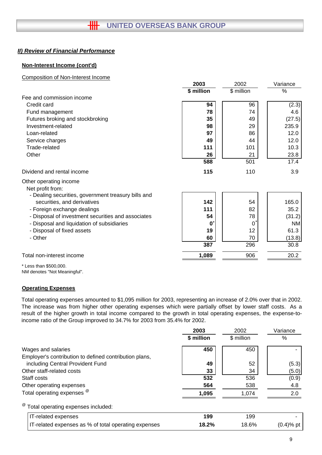## **Non-Interest Income (cont'd)**

### Composition of Non-Interest Income

|                                                                                    | 2003       | 2002                      | Variance  |
|------------------------------------------------------------------------------------|------------|---------------------------|-----------|
|                                                                                    | \$ million | \$ million                | %         |
| Fee and commission income                                                          |            |                           |           |
| Credit card                                                                        | 94         | 96                        | (2.3)     |
| Fund management                                                                    | 78         | 74                        | 4.6       |
| Futures broking and stockbroking                                                   | 35         | 49                        | (27.5)    |
| Investment-related                                                                 | 98         | 29                        | 235.9     |
| Loan-related                                                                       | 97         | 86                        | 12.0      |
| Service charges                                                                    | 49         | 44                        | 12.0      |
| Trade-related                                                                      | 111        | 101                       | 10.3      |
| Other                                                                              | 26         | 21                        | 23.8      |
|                                                                                    | 588        | 501                       | 17.4      |
| Dividend and rental income                                                         | 115        | 110                       | 3.9       |
| Other operating income<br>Net profit from:                                         |            |                           |           |
| - Dealing securities, government treasury bills and<br>securities, and derivatives | 142        | 54                        | 165.0     |
| - Foreign exchange dealings                                                        | 111        | 82                        | 35.2      |
| - Disposal of investment securities and associates                                 | 54         | 78                        | (31.2)    |
| - Disposal and liquidation of subsidiaries                                         | O          | $\mathbf{0}^{\mathsf{i}}$ | <b>NM</b> |
| - Disposal of fixed assets                                                         | 19         | 12                        | 61.3      |
| - Other                                                                            | 60         | 70                        | (13.8)    |
|                                                                                    | 387        | 296                       | 30.8      |
| Total non-interest income                                                          | 1,089      | 906                       | 20.2      |
|                                                                                    |            |                           |           |

\* Less than \$500,000. NM denotes "Not Meaningful".

## **Operating Expenses**

Total operating expenses amounted to \$1,095 million for 2003, representing an increase of 2.0% over that in 2002. The increase was from higher other operating expenses which were partially offset by lower staff costs. As a result of the higher growth in total income compared to the growth in total operating expenses, the expense-toincome ratio of the Group improved to 34.7% for 2003 from 35.4% for 2002.

|                                                        | 2003       | 2002       | Variance     |
|--------------------------------------------------------|------------|------------|--------------|
|                                                        | \$ million | \$ million | $\%$         |
| Wages and salaries                                     | 450        | 450        |              |
| Employer's contribution to defined contribution plans, |            |            |              |
| including Central Provident Fund                       | 49         | 52         | (5.3)        |
| Other staff-related costs                              | 33         | 34         | (5.0)        |
| Staff costs                                            | 532        | 536        | (0.9)        |
| Other operating expenses                               | 564        | 538        | 4.8          |
| Total operating expenses <sup>@</sup>                  | 1,095      | 1,074      | 2.0          |
| <sup>@</sup> Total operating expenses included:        |            |            |              |
| IT-related expenses                                    | 199        | 199        |              |
| IT-related expenses as % of total operating expenses   | 18.2%      | 18.6%      | $(0.4)$ % pt |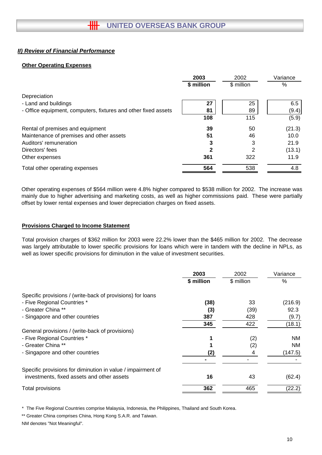## **Other Operating Expenses**

|                                                                | 2003        | 2002       | Variance |
|----------------------------------------------------------------|-------------|------------|----------|
|                                                                | \$ million  | \$ million | %        |
| Depreciation                                                   |             |            |          |
| - Land and buildings                                           | 27          | 25         | 6.5      |
| - Office equipment, computers, fixtures and other fixed assets | 81          | 89         | (9.4)    |
|                                                                | 108         | 115        | (5.9)    |
| Rental of premises and equipment                               | 39          | 50         | (21.3)   |
| Maintenance of premises and other assets                       | 51          | 46         | 10.0     |
| Auditors' remuneration                                         | 3           | 3          | 21.9     |
| Directors' fees                                                | $\mathbf 2$ | 2          | (13.1)   |
| Other expenses                                                 | 361         | 322        | 11.9     |
| Total other operating expenses                                 | 564         | 538        | 4.8      |

Other operating expenses of \$564 million were 4.8% higher compared to \$538 million for 2002. The increase was mainly due to higher advertising and marketing costs, as well as higher commissions paid. These were partially offset by lower rental expenses and lower depreciation charges on fixed assets.

## **Provisions Charged to Income Statement**

Total provision charges of \$362 million for 2003 were 22.2% lower than the \$465 million for 2002. The decrease was largely attributable to lower specific provisions for loans which were in tandem with the decline in NPLs, as well as lower specific provisions for diminution in the value of investment securities.

|                                                             | 2003<br>\$ million | 2002<br>\$ million | Variance<br>$\%$ |
|-------------------------------------------------------------|--------------------|--------------------|------------------|
| Specific provisions / (write-back of provisions) for loans  |                    |                    |                  |
| - Five Regional Countries *                                 | (38)               | 33                 | (216.9)          |
| - Greater China **                                          | (3)                | (39)               | 92.3             |
| - Singapore and other countries                             | 387                | 428                | (9.7)            |
|                                                             | 345                | 422                | (18.1)           |
| General provisions / (write-back of provisions)             |                    |                    |                  |
| - Five Regional Countries *                                 |                    | (2)                | NM.              |
| - Greater China **                                          |                    | (2)                | NM.              |
| - Singapore and other countries                             | (2)                |                    | (147.5)          |
|                                                             |                    |                    |                  |
| Specific provisions for diminution in value / impairment of |                    |                    |                  |
| investments, fixed assets and other assets                  | 16                 | 43                 | (62.4)           |
| Total provisions                                            | 362                | 465                | (22.2)           |

\* The Five Regional Countries comprise Malaysia, Indonesia, the Philippines, Thailand and South Korea.

\*\* Greater China comprises China, Hong Kong S.A.R. and Taiwan. NM denotes "Not Meaningful".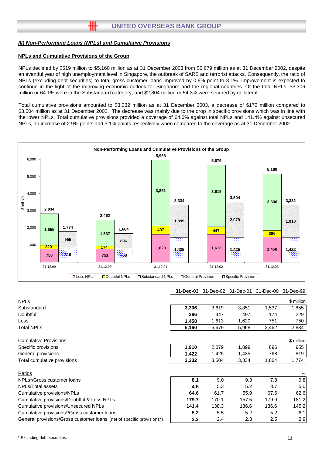╫╫

#### **NPLs and Cumulative Provisions of the Group**

NPLs declined by \$519 million to \$5,160 million as at 31 December 2003 from \$5,679 million as at 31 December 2002, despite an eventful year of high unemployment level in Singapore, the outbreak of SARS and terrorist attacks. Consequently, the ratio of NPLs (excluding debt securities) to total gross customer loans improved by 0.9% point to 8.1%. Improvement is expected to continue in the light of the improving economic outlook for Singapore and the regional countries. Of the total NPLs, \$3,306 million or 64.1% were in the Substandard category, and \$2,804 million or 54.3% were secured by collateral.

Total cumulative provisions amounted to \$3,332 million as at 31 December 2003, a decrease of \$172 million compared to \$3,504 million as at 31 December 2002. The decrease was mainly due to the drop in specific provisions which was in line with the lower NPLs. Total cumulative provisions provided a coverage of 64.6% against total NPLs and 141.4% against unsecured NPLs, an increase of 2.9% points and 3.1% points respectively when compared to the coverage as at 31 December 2002.



#### **31-Dec-03** 31-Dec-02 31-Dec-01 31-Dec-00 31-Dec-99

| <b>NPLs</b>                                                           |       |       |       |       | \$ million |
|-----------------------------------------------------------------------|-------|-------|-------|-------|------------|
| Substandard                                                           | 3,306 | 3,619 | 3,851 | 1,537 | 1,855      |
| Doubtful                                                              | 396   | 447   | 497   | 174   | 229        |
| Loss                                                                  | 1,458 | 1,613 | 1,620 | 751   | 750        |
| Total NPLs                                                            | 5,160 | 5,679 | 5,968 | 2,462 | 2,834      |
| <b>Cumulative Provisions</b>                                          |       |       |       |       | \$ million |
| Specific provisions                                                   | 1,910 | 2,079 | 1,899 | 896   | 955        |
| General provisions                                                    | 1,422 | 1,425 | 1,435 | 768   | 819        |
| Total cumulative provisions                                           | 3,332 | 3,504 | 3,334 | 1,664 | 1,774      |
| Ratios                                                                |       |       |       |       | $\%$       |
| NPLs*/Gross customer loans                                            | 8.1   | 9.0   | 9.3   | 7.8   | 9.8        |
| NPLs/Total assets                                                     | 4.5   | 5.3   | 5.2   | 3.7   | 5.0        |
| Cumulative provisions/NPLs                                            | 64.6  | 61.7  | 55.9  | 67.6  | 62.6       |
| Cumulative provisions/Doubtful & Loss NPLs                            | 179.7 | 170.1 | 157.5 | 179.9 | 181.2      |
| Cumulative provisions/Unsecured NPLs                                  | 141.4 | 138.3 | 136.6 | 136.6 | 145.2      |
| Cumulative provisions*/Gross customer loans                           | 5.2   | 5.5   | 5.2   | 5.2   | 6.1        |
| General provisions/Gross customer loans (net of specific provisions*) | 2.3   | 2.4   | 2.3   | 2.5   | 2.9        |
|                                                                       |       |       |       |       |            |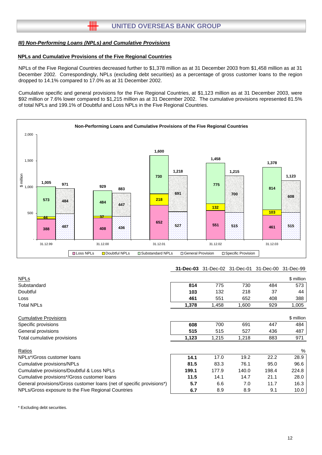卌

### **NPLs and Cumulative Provisions of the Five Regional Countries**

NPLs of the Five Regional Countries decreased further to \$1,378 million as at 31 December 2003 from \$1,458 million as at 31 December 2002. Correspondingly, NPLs (excluding debt securities) as a percentage of gross customer loans to the region dropped to 14.1% compared to 17.0% as at 31 December 2002.

Cumulative specific and general provisions for the Five Regional Countries, at \$1,123 million as at 31 December 2003, were \$92 million or 7.6% lower compared to \$1,215 million as at 31 December 2002. The cumulative provisions represented 81.5% of total NPLs and 199.1% of Doubtful and Loss NPLs in the Five Regional Countries.



#### **31-Dec-03** 31-Dec-02 31-Dec-01 31-Dec-00 31-Dec-99

|       |       |       |       | \$ million |
|-------|-------|-------|-------|------------|
| 814   | 775   | 730   | 484   | 573        |
| 103   | 132   | 218   | 37    | 44         |
| 461   | 551   | 652   | 408   | 388        |
| 1,378 | 1,458 | 1,600 | 929   | 1,005      |
|       |       |       |       | \$ million |
| 608   | 700   | 691   | 447   | 484        |
| 515   | 515   | 527   | 436   | 487        |
| 1,123 | 1,215 | 1,218 | 883   | 971        |
|       |       |       |       | %          |
| 14.1  | 17.0  | 19.2  | 22.2  | 28.9       |
| 81.5  | 83.3  | 76.1  | 95.0  | 96.6       |
| 199.1 | 177.9 | 140.0 | 198.4 | 224.8      |
| 11.5  | 14.1  | 14.7  | 21.1  | 28.0       |
| 5.7   | 6.6   | 7.0   | 11.7  | 16.3       |
| 6.7   | 8.9   | 8.9   | 9.1   | 10.0       |
|       |       |       |       |            |

\* Excluding debt securities.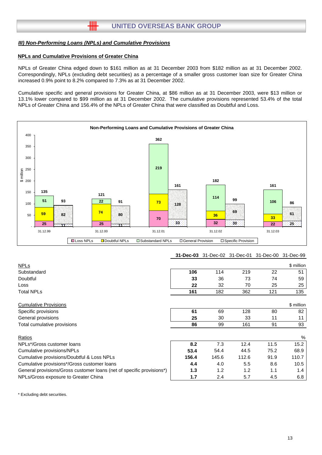卌

## **NPLs and Cumulative Provisions of Greater China**

NPLs of Greater China edged down to \$161 million as at 31 December 2003 from \$182 million as at 31 December 2002. Correspondingly, NPLs (excluding debt securities) as a percentage of a smaller gross customer loan size for Greater China increased 0.9% point to 8.2% compared to 7.3% as at 31 December 2002.

Cumulative specific and general provisions for Greater China, at \$86 million as at 31 December 2003, were \$13 million or 13.1% lower compared to \$99 million as at 31 December 2002. The cumulative provisions represented 53.4% of the total NPLs of Greater China and 156.4% of the NPLs of Greater China that were classified as Doubtful and Loss.



## **31-Dec-03** 31-Dec-02 31-Dec-01 31-Dec-00 31-Dec-99

| <b>NPLs</b>                                                           |       |       |       |      | \$ million |
|-----------------------------------------------------------------------|-------|-------|-------|------|------------|
| Substandard                                                           | 106   | 114   | 219   | 22   | 51         |
| Doubtful                                                              | 33    | 36    | 73    | 74   | 59         |
| Loss                                                                  | 22    | 32    | 70    | 25   | 25         |
| <b>Total NPLs</b>                                                     | 161   | 182   | 362   | 121  | 135        |
| <b>Cumulative Provisions</b>                                          |       |       |       |      | \$ million |
| Specific provisions                                                   | 61    | 69    | 128   | 80   | 82         |
| General provisions                                                    | 25    | 30    | 33    | 11   | 11         |
| Total cumulative provisions                                           | 86    | 99    | 161   | 91   | 93         |
| Ratios                                                                |       |       |       |      | %          |
| NPLs*/Gross customer loans                                            | 8.2   | 7.3   | 12.4  | 11.5 | 15.2       |
| Cumulative provisions/NPLs                                            | 53.4  | 54.4  | 44.5  | 75.2 | 68.9       |
| Cumulative provisions/Doubtful & Loss NPLs                            | 156.4 | 145.6 | 112.6 | 91.9 | 110.7      |
| Cumulative provisions*/Gross customer loans                           | 4.4   | 4.0   | 5.5   | 8.6  | 10.5       |
| General provisions/Gross customer loans (net of specific provisions*) | 1.3   | 1.2   | 1.2   | 1.1  | 1.4        |
| NPLs/Gross exposure to Greater China                                  | 1.7   | 2.4   | 5.7   | 4.5  | 6.8        |

\* Excluding debt securities.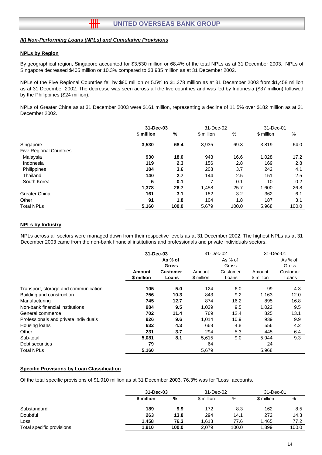╫╫

#### **NPLs by Region**

By geographical region, Singapore accounted for \$3,530 million or 68.4% of the total NPLs as at 31 December 2003. NPLs of Singapore decreased \$405 million or 10.3% compared to \$3,935 million as at 31 December 2002.

NPLs of the Five Regional Countries fell by \$80 million or 5.5% to \$1,378 million as at 31 December 2003 from \$1,458 million as at 31 December 2002. The decrease was seen across all the five countries and was led by Indonesia (\$37 million) followed by the Philippines (\$24 million).

NPLs of Greater China as at 31 December 2003 were \$161 million, representing a decline of 11.5% over \$182 million as at 31 December 2002.

|                                |            | 31-Dec-03 |            | 31-Dec-02 | 31-Dec-01  |       |
|--------------------------------|------------|-----------|------------|-----------|------------|-------|
|                                | \$ million | %         | \$ million | %         | \$ million | %     |
| Singapore                      | 3,530      | 68.4      | 3,935      | 69.3      | 3,819      | 64.0  |
| <b>Five Regional Countries</b> |            |           |            |           |            |       |
| Malaysia                       | 930        | 18.0      | 943        | 16.6      | 1,028      | 17.2  |
| Indonesia                      | 119        | 2.3       | 156        | 2.8       | 169        | 2.8   |
| Philippines                    | 184        | 3.6       | 208        | 3.7       | 242        | 4.1   |
| Thailand                       | 140        | 2.7       | 144        | 2.5       | 151        | 2.5   |
| South Korea                    | 5          | 0.1       |            | 0.1       | 10         | 0.2   |
|                                | 1,378      | 26.7      | 1,458      | 25.7      | 1,600      | 26.8  |
| <b>Greater China</b>           | 161        | 3.1       | 182        | 3.2       | 362        | 6.1   |
| Other                          | 91         | 1.8       | 104        | 1.8       | 187        | 3.1   |
| <b>Total NPLs</b>              | 5,160      | 100.0     | 5,679      | 100.0     | 5,968      | 100.0 |

#### **NPLs by Industry**

NPLs across all sectors were managed down from their respective levels as at 31 December 2002. The highest NPLs as at 31 December 2003 came from the non-bank financial institutions and professionals and private individuals sectors.

|                                       | 31-Dec-03                   |                                                     | 31-Dec-02            |                                       | 31-Dec-01            |                                       |  |
|---------------------------------------|-----------------------------|-----------------------------------------------------|----------------------|---------------------------------------|----------------------|---------------------------------------|--|
|                                       | <b>Amount</b><br>\$ million | As % of<br><b>Gross</b><br><b>Customer</b><br>Loans | Amount<br>\$ million | As % of<br>Gross<br>Customer<br>Loans | Amount<br>\$ million | As % of<br>Gross<br>Customer<br>Loans |  |
| Transport, storage and communication  | 105                         | 5.0                                                 | 124                  | 6.0                                   | 99                   | 4.3                                   |  |
| Building and construction             | 756                         | 10.3                                                | 843                  | 9.2                                   | 1.163                | 12.0                                  |  |
| Manufacturing                         | 745                         | 12.7                                                | 874                  | 16.2                                  | 895                  | 16.8                                  |  |
| Non-bank financial institutions       | 984                         | 9.5                                                 | 1,029                | 9.5                                   | 1,022                | 9.5                                   |  |
| General commerce                      | 702                         | 11.4                                                | 769                  | 12.4                                  | 825                  | 13.1                                  |  |
| Professionals and private individuals | 926                         | 9.6                                                 | 1,014                | 10.9                                  | 939                  | 9.9                                   |  |
| Housing loans                         | 632                         | 4.3                                                 | 668                  | 4.8                                   | 556                  | 4.2                                   |  |
| Other                                 | 231                         | 3.7                                                 | 294                  | 5.3                                   | 445                  | 6.4                                   |  |
| Sub-total                             | 5,081                       | 8.1                                                 | 5,615                | 9.0                                   | 5,944                | 9.3                                   |  |
| Debt securities                       | 79                          |                                                     | 64                   |                                       | 24                   |                                       |  |
| <b>Total NPLs</b>                     | 5,160                       |                                                     | 5,679                |                                       | 5,968                |                                       |  |

#### **Specific Provisions by Loan Classification**

Of the total specific provisions of \$1,910 million as at 31 December 2003, 76.3% was for "Loss" accounts.

|                           |            | 31-Dec-03 |            | 31-Dec-02 | 31-Dec-01  |       |  |
|---------------------------|------------|-----------|------------|-----------|------------|-------|--|
|                           | \$ million | %         | \$ million | %         | \$ million | %     |  |
| Substandard               | 189        | 9.9       | 172        | 8.3       | 162        | 8.5   |  |
| Doubtful                  | 263        | 13.8      | 294        | 14.1      | 272        | 14.3  |  |
| LOSS                      | 1.458      | 76.3      | 1.613      | 77.6      | 1.465      | 77.2  |  |
| Total specific provisions | 1.910      | 100.0     | 2,079      | 100.0     | 1.899      | 100.0 |  |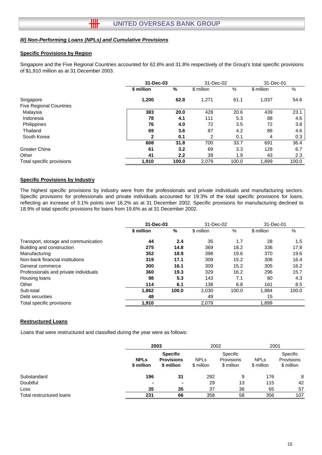卌

#### **Specific Provisions by Region**

Singapore and the Five Regional Countries accounted for 62.8% and 31.8% respectively of the Group's total specific provisions of \$1,910 million as at 31 December 2003.

|                                |            | 31-Dec-03 |            | 31-Dec-02 |            | 31-Dec-01 |  |
|--------------------------------|------------|-----------|------------|-----------|------------|-----------|--|
|                                | \$ million | %         | \$ million | %         | \$ million | %         |  |
| Singapore                      | 1,200      | 62.8      | 1,271      | 61.1      | 1,037      | 54.6      |  |
| <b>Five Regional Countries</b> |            |           |            |           |            |           |  |
| Malaysia                       | 383        | 20.0      | 428        | 20.6      | 439        | 23.1      |  |
| Indonesia                      | 78         | 4.1       | 111        | 5.3       | 88         | 4.6       |  |
| Philippines                    | 76         | 4.0       | 72         | 3.5       | 72         | 3.8       |  |
| Thailand                       | 69         | 3.6       | 87         | 4.2       | 88         | 4.6       |  |
| South Korea                    | 2          | 0.1       | 2          | 0.1       | 4          | 0.3       |  |
|                                | 608        | 31.8      | 700        | 33.7      | 691        | 36.4      |  |
| <b>Greater China</b>           | 61         | 3.2       | 69         | 3.3       | 128        | 6.7       |  |
| Other                          | 41         | 2.2       | 39         | 1.9       | 43         | 2.3       |  |
| Total specific provisions      | 1,910      | 100.0     | 2,079      | 100.0     | 1,899      | 100.0     |  |

#### **Specific Provisions by Industry**

The highest specific provisions by industry were from the professionals and private individuals and manufacturing sectors. Specific provisions for professionals and private individuals accounted for 19.3% of the total specific provisions for loans, reflecting an increase of 3.1% points over 16.2% as at 31 December 2002. Specific provisions for manufacturing declined to 18.9% of total specific provisions for loans from 19.6% as at 31 December 2002.

|                                       | 31-Dec-03  |       | 31-Dec-02  |       | 31-Dec-01  |               |
|---------------------------------------|------------|-------|------------|-------|------------|---------------|
|                                       | \$ million | %     | \$ million | %     | \$ million | %             |
| Transport, storage and communication  | 44         | 2.4   | 35         | 1.7   | 28         | $1.5^{\circ}$ |
| Building and construction             | 275        | 14.8  | 369        | 18.2  | 336        | 17.8          |
| Manufacturing                         | 352        | 18.9  | 398        | 19.6  | 370        | 19.6          |
| Non-bank financial institutions       | 319        | 17.1  | 309        | 15.2  | 308        | 16.4          |
| General commerce                      | 300        | 16.1  | 309        | 15.2  | 305        | 16.2          |
| Professionals and private individuals | 360        | 19.3  | 329        | 16.2  | 296        | 15.7          |
| Housing loans                         | 98         | 5.3   | 143        | 7.1   | 80         | 4.3           |
| Other                                 | 114        | 6.1   | 138        | 6.8   | 161        | 8.5           |
| Sub-total                             | 1.862      | 100.0 | 2,030      | 100.0 | 1.884      | 100.0         |
| Debt securities                       | 48         |       | 49         |       | 15         |               |
| Total specific provisions             | 1,910      |       | 2,079      |       | 1,899      |               |

#### **Restructured Loans**

Loans that were restructured and classified during the year were as follows:

|                          |                           | 2003                                               |                           | 2002                                 | 2001                      |                                      |
|--------------------------|---------------------------|----------------------------------------------------|---------------------------|--------------------------------------|---------------------------|--------------------------------------|
|                          | <b>NPLs</b><br>\$ million | <b>Specific</b><br><b>Provisions</b><br>\$ million | <b>NPLs</b><br>\$ million | Specific<br>Provisions<br>\$ million | <b>NPLs</b><br>\$ million | Specific<br>Provisions<br>\$ million |
| Substandard              | 196                       | -31                                                | 292                       | 9                                    | 176                       | 8                                    |
| Doubtful                 |                           | $\blacksquare$                                     | 29                        | 13                                   | 115                       | 42                                   |
| Loss                     | 35                        | 35                                                 | 37                        | 36                                   | 65                        | 57                                   |
| Total restructured loans | 231                       | 66                                                 | 358                       | 58                                   | 356                       | 107                                  |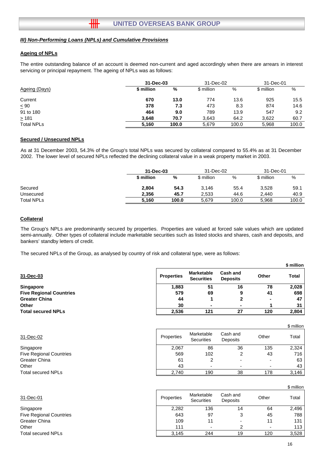卌

#### **Ageing of NPLs**

The entire outstanding balance of an account is deemed non-current and aged accordingly when there are arrears in interest servicing or principal repayment. The ageing of NPLs was as follows:

| Ageing (Days)     | 31-Dec-03  |       | 31-Dec-02<br>31-Dec-01 |       |            |       |
|-------------------|------------|-------|------------------------|-------|------------|-------|
|                   | \$ million | %     | \$ million             | %     | \$ million | %     |
| Current           | 670        | 13.0  | 774                    | 13.6  | 925        | 15.5  |
| $\leq 90$         | 378        | 7.3   | 473                    | 8.3   | 874        | 14.6  |
| 91 to 180         | 464        | 9.0   | 789                    | 13.9  | 547        | 9.2   |
| $\geq 181$        | 3.648      | 70.7  | 3,643                  | 64.2  | 3,622      | 60.7  |
| <b>Total NPLs</b> | 5.160      | 100.0 | 5,679                  | 100.0 | 5,968      | 100.0 |

#### **Secured / Unsecured NPLs**

As at 31 December 2003, 54.3% of the Group's total NPLs was secured by collateral compared to 55.4% as at 31 December 2002. The lower level of secured NPLs reflected the declining collateral value in a weak property market in 2003.

|                   | 31-Dec-03  |       | 31-Dec-02  |       | 31-Dec-01  |       |
|-------------------|------------|-------|------------|-------|------------|-------|
|                   | \$ million | %     | \$ million | %     | \$ million | %     |
| Secured           | 2.804      | 54.3  | 3,146      | 55.4  | 3,528      | 59.1  |
| Unsecured         | 2.356      | 45.7  | 2,533      | 44.6  | 2.440      | 40.9  |
| <b>Total NPLs</b> | 5.160      | 100.0 | 5.679      | 100.0 | 5.968      | 100.0 |

#### **Collateral**

The Group's NPLs are predominantly secured by properties. Properties are valued at forced sale values which are updated semi-annually. Other types of collateral include marketable securities such as listed stocks and shares, cash and deposits, and bankers' standby letters of credit.

The secured NPLs of the Group, as analysed by country of risk and collateral type, were as follows:

|                                |                   |                                        |                             |       | .     |
|--------------------------------|-------------------|----------------------------------------|-----------------------------|-------|-------|
| 31-Dec-03                      | <b>Properties</b> | <b>Marketable</b><br><b>Securities</b> | Cash and<br><b>Deposits</b> | Other | Total |
| <b>Singapore</b>               | 1,883             | 51                                     | 16                          | 78    | 2,028 |
| <b>Five Regional Countries</b> | 579               | 69                                     | 9                           | 41    | 698   |
| <b>Greater China</b>           | 44                |                                        |                             | ۰     | 47    |
| <b>Other</b>                   | 30                |                                        | $\blacksquare$              |       | 31    |
| <b>Total secured NPLs</b>      | 2,536             | 121                                    | 27                          | 120   | 2,804 |

| 31-Dec-02                      | Properties | Marketable<br><b>Securities</b> | Cash and<br><b>Deposits</b> | Other | Total |
|--------------------------------|------------|---------------------------------|-----------------------------|-------|-------|
| Singapore                      | 2,067      | 86                              | 36                          | 135   | 2.324 |
| <b>Five Regional Countries</b> | 569        | 102                             | າ                           | 43    | 716   |
| Greater China                  | 61         |                                 |                             |       | 63    |
| Other                          | 43         | $\overline{\phantom{0}}$        |                             |       | 43    |
| <b>Total secured NPLs</b>      | 2.740      | 190                             | 38                          | 178   | 3,146 |
|                                |            |                                 |                             |       |       |

|                                |            |                                 |                          |       | \$ million |
|--------------------------------|------------|---------------------------------|--------------------------|-------|------------|
| 31-Dec-01                      | Properties | Marketable<br><b>Securities</b> | Cash and<br>Deposits     | Other | Total      |
| Singapore                      | 2,282      | 136                             | 14                       | 64    | 2,496      |
| <b>Five Regional Countries</b> | 643        | 97                              | 3                        | 45    | 788        |
| Greater China                  | 109        | 11                              | $\overline{\phantom{0}}$ |       | 131        |
| Other                          | 111        |                                 |                          |       | 113        |
| Total secured NPLs             | 3.145      | 244                             | 19                       | 120   | 3,528      |

**\$ million**

\$ million

Cash and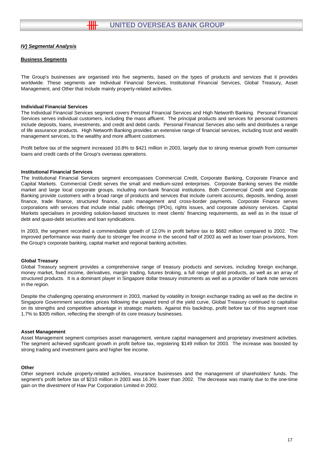╫╫

#### **Business Segments**

The Group's businesses are organised into five segments, based on the types of products and services that it provides worldwide. These segments are Individual Financial Services, Institutional Financial Services, Global Treasury, Asset Management, and Other that include mainly property-related activities.

#### **Individual Financial Services**

The Individual Financial Services segment covers Personal Financial Services and High Networth Banking. Personal Financial Services serves individual customers, including the mass affluent. The principal products and services for personal customers include deposits, loans, investments, and credit and debit cards. Personal Financial Services also sells and distributes a range of life assurance products. High Networth Banking provides an extensive range of financial services, including trust and wealth management services, to the wealthy and more affluent customers.

Profit before tax of the segment increased 10.8% to \$421 million in 2003, largely due to strong revenue growth from consumer loans and credit cards of the Group's overseas operations.

#### **Institutional Financial Services**

The Institutional Financial Services segment encompasses Commercial Credit, Corporate Banking, Corporate Finance and Capital Markets. Commercial Credit serves the small and medium-sized enterprises. Corporate Banking serves the middle market and large local corporate groups, including non-bank financial institutions. Both Commercial Credit and Corporate Banking provide customers with a broad range of products and services that include current accounts, deposits, lending, asset finance, trade finance, structured finance, cash management and cross-border payments. Corporate Finance serves corporations with services that include initial public offerings (IPOs), rights issues, and corporate advisory services. Capital Markets specialises in providing solution-based structures to meet clients' financing requirements, as well as in the issue of debt and quasi-debt securities and loan syndications.

In 2003, the segment recorded a commendable growth of 12.0% in profit before tax to \$682 million compared to 2002. The improved performance was mainly due to stronger fee income in the second half of 2003 as well as lower loan provisions, from the Group's corporate banking, capital market and regional banking activities.

#### **Global Treasury**

Global Treasury segment provides a comprehensive range of treasury products and services, including foreign exchange, money market, fixed income, derivatives, margin trading, futures broking, a full range of gold products, as well as an array of structured products. It is a dominant player in Singapore dollar treasury instruments as well as a provider of bank note services in the region.

Despite the challenging operating environment in 2003, marked by volatility in foreign exchange trading as well as the decline in Singapore Government securities prices following the upward trend of the yield curve, Global Treasury continued to capitalise on its strengths and competitive advantage in strategic markets. Against this backdrop, profit before tax of this segment rose 1.7% to \$305 million, reflecting the strength of its core treasury businesses.

#### **Asset Management**

Asset Management segment comprises asset management, venture capital management and proprietary investment activities. The segment achieved significant growth in profit before tax, registering \$149 million for 2003. The increase was boosted by strong trading and investment gains and higher fee income.

#### **Other**

Other segment include property-related activities, insurance businesses and the management of shareholders' funds. The segment's profit before tax of \$210 million in 2003 was 16.3% lower than 2002. The decrease was mainly due to the one-time gain on the divestment of Haw Par Corporation Limited in 2002.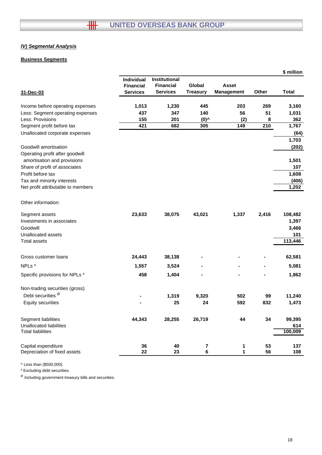## **Business Segments**

|                                    |                  |                  |                 |                   |       | \$ million   |
|------------------------------------|------------------|------------------|-----------------|-------------------|-------|--------------|
|                                    | Individual       | Institutional    |                 |                   |       |              |
|                                    | <b>Financial</b> | <b>Financial</b> | Global          | Asset             |       |              |
| 31-Dec-03                          | <b>Services</b>  | <b>Services</b>  | <b>Treasury</b> | <b>Management</b> | Other | <b>Total</b> |
| Income before operating expenses   | 1,013            | 1,230            | 445             | 203               | 269   | 3,160        |
| Less: Segment operating expenses   | 437              | 347              | 140             | 56                | 51    | 1,031        |
| Less: Provisions                   | 155              | 201              | $(0)^{\wedge}$  | (2)               | 8     | 362          |
| Segment profit before tax          | 421              | 682              | 305             | 149               | 210   | 1,767        |
| Unallocated corporate expenses     |                  |                  |                 |                   |       | (64)         |
|                                    |                  |                  |                 |                   |       | 1,703        |
| Goodwill amortisation              |                  |                  |                 |                   |       | (202)        |
| Operating profit after goodwill    |                  |                  |                 |                   |       |              |
| amortisation and provisions        |                  |                  |                 |                   |       | 1,501        |
| Share of profit of associates      |                  |                  |                 |                   |       | 107          |
| Profit before tax                  |                  |                  |                 |                   |       | 1,608        |
| Tax and minority interests         |                  |                  |                 |                   |       | (406)        |
| Net profit attributable to members |                  |                  |                 |                   |       | 1,202        |
| Other information:                 |                  |                  |                 |                   |       |              |
| Segment assets                     | 23,633           | 38,075           | 43,021          | 1,337             | 2,416 | 108,482      |
| Investments in associates          |                  |                  |                 |                   |       | 1,397        |
| Goodwill                           |                  |                  |                 |                   |       | 3,466        |
| Unallocated assets                 |                  |                  |                 |                   |       | 101          |
| <b>Total assets</b>                |                  |                  |                 |                   |       | 113,446      |
| Gross customer loans               | 24,443           | 38,138           |                 |                   |       | 62,581       |
| NPLs*                              | 1,557            | 3,524            |                 |                   |       | 5,081        |
| Specific provisions for NPLs *     | 458              | 1,404            |                 |                   |       | 1,862        |
| Non-trading securities (gross)     |                  |                  |                 |                   |       |              |
| Debt securities <sup>@</sup>       |                  | 1,319            | 9,320           | 502               | 99    | 11,240       |
| <b>Equity securities</b>           |                  | 25               | 24              | 592               | 832   | 1,473        |
| Segment liabilities                | 44,343           | 28,255           | 26,719          | 44                | 34    | 99,395       |
| <b>Unallocated liabilities</b>     |                  |                  |                 |                   |       | 614          |
| <b>Total liabilities</b>           |                  |                  |                 |                   |       | 100,009      |
| Capital expenditure                | 36               | 40               | 7               | 1                 | 53    | 137          |
| Depreciation of fixed assets       | 22               | 23               | 6               | 1                 | 56    | 108          |
|                                    |                  |                  |                 |                   |       |              |

^ Less than (\$500,000).

\* Excluding debt securities.

 $<sup>®</sup>$  Including government treasury bills and securities.</sup>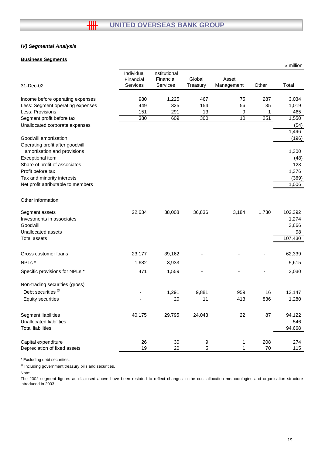#### **Business Segments**

|                                                                               |                                            |                                        |                    |                     |       | \$ million                      |
|-------------------------------------------------------------------------------|--------------------------------------------|----------------------------------------|--------------------|---------------------|-------|---------------------------------|
| 31-Dec-02                                                                     | Individual<br>Financial<br><b>Services</b> | Institutional<br>Financial<br>Services | Global<br>Treasury | Asset<br>Management | Other | Total                           |
| Income before operating expenses                                              | 980                                        | 1,225                                  | 467                | 75                  | 287   | 3,034                           |
| Less: Segment operating expenses                                              | 449                                        | 325                                    | 154                | 56                  | 35    | 1,019                           |
| Less: Provisions                                                              | 151                                        | 291                                    | 13                 | 9                   | 1     | 465                             |
| Segment profit before tax                                                     | 380                                        | 609                                    | 300                | 10                  | 251   | 1,550                           |
| Unallocated corporate expenses                                                |                                            |                                        |                    |                     |       | (54)                            |
| Goodwill amortisation<br>Operating profit after goodwill                      |                                            |                                        |                    |                     |       | 1,496<br>(196)                  |
| amortisation and provisions                                                   |                                            |                                        |                    |                     |       | 1,300                           |
| Exceptional item                                                              |                                            |                                        |                    |                     |       | (48)                            |
| Share of profit of associates                                                 |                                            |                                        |                    |                     |       | 123                             |
| Profit before tax                                                             |                                            |                                        |                    |                     |       | 1,376                           |
| Tax and minority interests<br>Net profit attributable to members              |                                            |                                        |                    |                     |       | (369)                           |
|                                                                               |                                            |                                        |                    |                     |       | 1,006                           |
| Other information:                                                            |                                            |                                        |                    |                     |       |                                 |
| Segment assets<br>Investments in associates<br>Goodwill<br>Unallocated assets | 22,634                                     | 38,008                                 | 36,836             | 3,184               | 1,730 | 102,392<br>1,274<br>3,666<br>98 |
| Total assets                                                                  |                                            |                                        |                    |                     |       | 107,430                         |
| Gross customer loans                                                          | 23,177                                     | 39,162                                 |                    |                     |       | 62,339                          |
| NPLs*                                                                         | 1,682                                      | 3,933                                  |                    |                     |       | 5,615                           |
| Specific provisions for NPLs *                                                | 471                                        | 1,559                                  |                    |                     |       | 2,030                           |
| Non-trading securities (gross)                                                |                                            |                                        |                    |                     |       |                                 |
| Debt securities <sup>®</sup>                                                  |                                            | 1,291                                  | 9,881              | 959                 | 16    | 12,147                          |
| <b>Equity securities</b>                                                      |                                            | 20                                     | 11                 | 413                 | 836   | 1,280                           |
| Segment liabilities<br>Unallocated liabilities                                | 40,175                                     | 29,795                                 | 24,043             | 22                  | 87    | 94,122<br>546                   |
| <b>Total liabilities</b>                                                      |                                            |                                        |                    |                     |       | 94,668                          |
| Capital expenditure                                                           | 26                                         | 30                                     | 9                  | 1                   | 208   | 274                             |
| Depreciation of fixed assets                                                  | 19                                         | 20                                     | 5                  |                     | 70    | 115                             |
|                                                                               |                                            |                                        |                    |                     |       |                                 |

\* Excluding debt securities.

@ Including government treasury bills and securities.

Note:

The 2002 segment figures as disclosed above have been restated to reflect changes in the cost allocation methodologies and organisation structure introduced in 2003.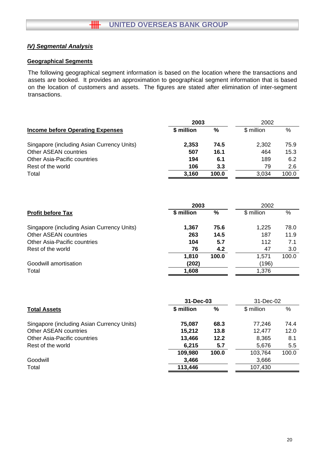## **Geographical Segments**

The following geographical segment information is based on the location where the transactions and assets are booked. It provides an approximation to geographical segment information that is based on the location of customers and assets. The figures are stated after elimination of inter-segment transactions.

|                                            |            | 2003  |            |       |
|--------------------------------------------|------------|-------|------------|-------|
| <b>Income before Operating Expenses</b>    | \$ million | %     | \$ million | $\%$  |
| Singapore (including Asian Currency Units) | 2,353      | 74.5  | 2,302      | 75.9  |
| <b>Other ASEAN countries</b>               | 507        | 16.1  | 464        | 15.3  |
| <b>Other Asia-Pacific countries</b>        | 194        | 6.1   | 189        | 6.2   |
| Rest of the world                          | 106        | 3.3   | 79         | 2.6   |
| Total                                      | 3,160      | 100.0 | 3,034      | 100.0 |

|                                            | 2003       |       | 2002       |       |
|--------------------------------------------|------------|-------|------------|-------|
| <b>Profit before Tax</b>                   | \$ million | ℅     | \$ million | $\%$  |
| Singapore (including Asian Currency Units) | 1,367      | 75.6  | 1,225      | 78.0  |
| <b>Other ASEAN countries</b>               | 263        | 14.5  | 187        | 11.9  |
| <b>Other Asia-Pacific countries</b>        | 104        | 5.7   | 112        | 7.1   |
| Rest of the world                          | 76         | 4.2   | 47         | 3.0   |
|                                            | 1,810      | 100.0 | 1.571      | 100.0 |
| Goodwill amortisation                      | (202)      |       | (196)      |       |
| Total                                      | 1,608      |       | 1,376      |       |

|                                            | 31-Dec-03  |       | 31-Dec-02  |       |
|--------------------------------------------|------------|-------|------------|-------|
| <b>Total Assets</b>                        | \$ million | %     | \$ million | $\%$  |
| Singapore (including Asian Currency Units) | 75,087     | 68.3  | 77,246     | 74.4  |
| <b>Other ASEAN countries</b>               | 15,212     | 13.8  | 12,477     | 12.0  |
| <b>Other Asia-Pacific countries</b>        | 13,466     | 12.2  | 8,365      | 8.1   |
| Rest of the world                          | 6,215      | 5.7   | 5,676      | 5.5   |
|                                            | 109,980    | 100.0 | 103,764    | 100.0 |
| Goodwill                                   | 3,466      |       | 3,666      |       |
| Total                                      | 113,446    |       | 107,430    |       |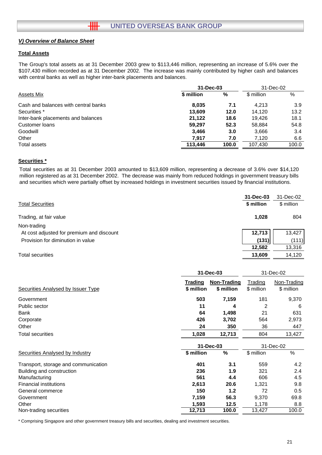#### **Total Assets**

The Group's total assets as at 31 December 2003 grew to \$113,446 million, representing an increase of 5.6% over the \$107,430 million recorded as at 31 December 2002. The increase was mainly contributed by higher cash and balances with central banks as well as higher inter-bank placements and balances.

|                                      | 31-Dec-03  |       | 31-Dec-02  |       |
|--------------------------------------|------------|-------|------------|-------|
| Assets Mix                           | \$ million | %     | \$ million | %     |
| Cash and balances with central banks | 8,035      | 7.1   | 4.213      | 3.9   |
| Securities *                         | 13,609     | 12.0  | 14.120     | 13.2  |
| Inter-bank placements and balances   | 21,122     | 18.6  | 19.426     | 18.1  |
| Customer loans                       | 59.297     | 52.3  | 58.884     | 54.8  |
| Goodwill                             | 3,466      | 3.0   | 3,666      | 3.4   |
| Other                                | 7.917      | 7.0   | 7.120      | 6.6   |
| Total assets                         | 113,446    | 100.0 | 107.430    | 100.0 |

#### **Securities \***

Total securities as at 31 December 2003 amounted to \$13,609 million, representing a decrease of 3.6% over \$14,120 million registered as at 31 December 2002. The decrease was mainly from reduced holdings in government treasury bills and securities which were partially offset by increased holdings in investment securities issued by financial institutions.

|                                           | 31-Dec-03  | 31-Dec-02  |
|-------------------------------------------|------------|------------|
| <b>Total Securities</b>                   | \$ million | \$ million |
| Trading, at fair value                    | 1.028      | 804        |
| Non-trading                               |            |            |
| At cost adjusted for premium and discount | 12,713     | 13,427     |
| Provision for diminution in value         | (131)      | (111)      |
|                                           | 12,582     | 13,316     |
| <b>Total securities</b>                   | 13,609     | 14,120     |

|                                           | 31-Dec-03                    |                           |                              | 31-Dec-02                 |  |
|-------------------------------------------|------------------------------|---------------------------|------------------------------|---------------------------|--|
| <b>Securities Analysed by Issuer Type</b> | <b>Trading</b><br>\$ million | Non-Trading<br>\$ million | <u>Trading</u><br>\$ million | Non-Trading<br>\$ million |  |
| Government                                | 503                          | 7,159                     | 181                          | 9,370                     |  |
| Public sector                             | 11                           | 4                         | 2                            | 6                         |  |
| Bank                                      | 64                           | 1,498                     | 21                           | 631                       |  |
| Corporate                                 | 426                          | 3,702                     | 564                          | 2,973                     |  |
| Other                                     | 24                           | 350                       | 36                           | 447                       |  |
| <b>Total securities</b>                   | 1,028                        | 12,713                    | 804                          | 13,427                    |  |
|                                           |                              | 31-Dec-03                 |                              | 31-Dec-02                 |  |
| <b>Securities Analysed by Industry</b>    | \$ million                   | %                         | \$ million                   | $\%$                      |  |
| Transport, storage and communication      | 401                          | 3.1                       | 559                          | 4.2                       |  |
| Building and construction                 | 236                          | 1.9                       | 321                          | 2.4                       |  |
| Manufacturing                             | 561                          | 4.4                       | 606                          | 4.5                       |  |
| <b>Financial institutions</b>             | 2,613                        | 20.6                      | 1,321                        | 9.8                       |  |
| General commerce                          | 150                          | 1.2                       | 72                           | 0.5                       |  |
| Government                                | 7,159                        | 56.3                      | 9,370                        | 69.8                      |  |
| Other                                     | 1,593                        | 12.5                      | 1,178                        | 8.8                       |  |
| Non-trading securities                    | 12,713                       | 100.0                     | 13,427                       | 100.0                     |  |

\* Comprising Singapore and other government treasury bills and securities, dealing and investment securities.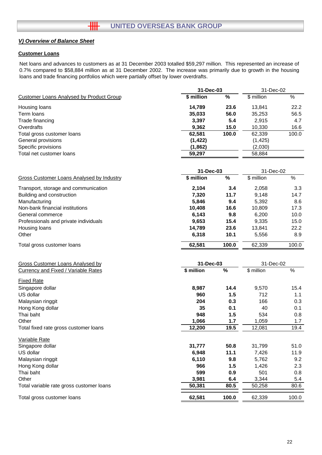## **Customer Loans**

Net loans and advances to customers as at 31 December 2003 totalled \$59,297 million. This represented an increase of 0.7% compared to \$58,884 million as at 31 December 2002. The increase was primarily due to growth in the housing loans and trade financing portfolios which were partially offset by lower overdrafts.

|                                                 | 31-Dec-03  |               | 31-Dec-02  |       |
|-------------------------------------------------|------------|---------------|------------|-------|
| <b>Customer Loans Analysed by Product Group</b> | \$ million | $\frac{0}{0}$ | \$ million | %     |
| Housing loans                                   | 14,789     | 23.6          | 13,841     | 22.2  |
| Term loans                                      | 35,033     | 56.0          | 35,253     | 56.5  |
| Trade financing                                 | 3,397      | 5.4           | 2,915      | 4.7   |
| Overdrafts                                      | 9,362      | 15.0          | 10,330     | 16.6  |
| Total gross customer loans                      | 62,581     | 100.0         | 62,339     | 100.0 |
| General provisions                              | (1, 422)   |               | (1, 425)   |       |
| Specific provisions                             | (1, 862)   |               | (2,030)    |       |
| Total net customer loans                        | 59,297     |               | 58,884     |       |
|                                                 | 31-Dec-03  |               | 31-Dec-02  |       |
| Gross Customer Loans Analysed by Industry       | \$ million | %             | \$ million | $\%$  |
| Transport, storage and communication            | 2,104      | 3.4           | 2,058      | 3.3   |
| Building and construction                       | 7,320      | 11.7          | 9,148      | 14.7  |
| Manufacturing                                   | 5,846      | 9.4           | 5,392      | 8.6   |
| Non-bank financial institutions                 | 10,408     | 16.6          | 10,809     | 17.3  |
| General commerce                                | 6,143      | 9.8           | 6,200      | 10.0  |
| Professionals and private individuals           | 9,653      | 15.4          | 9,335      | 15.0  |
| Housing loans                                   | 14,789     | 23.6          | 13,841     | 22.2  |
| Other                                           | 6,318      | 10.1          | 5,556      | 8.9   |
| Total gross customer loans                      | 62,581     | 100.0         | 62,339     | 100.0 |

| Gross Customer Loans Analysed by           | 31-Dec-03  |       | 31-Dec-02  |       |
|--------------------------------------------|------------|-------|------------|-------|
| <b>Currency and Fixed / Variable Rates</b> | \$ million | %     | \$ million | %     |
| <b>Fixed Rate</b>                          |            |       |            |       |
| Singapore dollar                           | 8,987      | 14.4  | 9,570      | 15.4  |
| US dollar                                  | 960        | 1.5   | 712        | 1.1   |
| Malaysian ringgit                          | 204        | 0.3   | 166        | 0.3   |
| Hong Kong dollar                           | 35         | 0.1   | 40         | 0.1   |
| Thai baht                                  | 948        | 1.5   | 534        | 0.8   |
| Other                                      | 1,066      | 1.7   | 1,059      | 1.7   |
| Total fixed rate gross customer loans      | 12,200     | 19.5  | 12,081     | 19.4  |
| Variable Rate                              |            |       |            |       |
| Singapore dollar                           | 31,777     | 50.8  | 31,799     | 51.0  |
| US dollar                                  | 6,948      | 11.1  | 7,426      | 11.9  |
| Malaysian ringgit                          | 6,110      | 9.8   | 5,762      | 9.2   |
| Hong Kong dollar                           | 966        | 1.5   | 1,426      | 2.3   |
| Thai baht                                  | 599        | 0.9   | 501        | 0.8   |
| Other                                      | 3,981      | 6.4   | 3,344      | 5.4   |
| Total variable rate gross customer loans   | 50,381     | 80.5  | 50,258     | 80.6  |
| Total gross customer loans                 | 62,581     | 100.0 | 62,339     | 100.0 |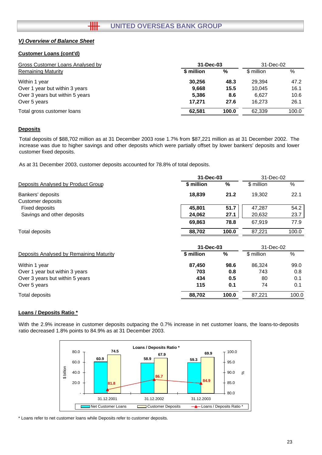### **Customer Loans (cont'd)**

| Gross Customer Loans Analysed by | 31-Dec-03  |       | 31-Dec-02  |       |
|----------------------------------|------------|-------|------------|-------|
| <b>Remaining Maturity</b>        | \$ million | %     | \$ million | %     |
| Within 1 year                    | 30.256     | 48.3  | 29.394     | 47.2  |
| Over 1 year but within 3 years   | 9,668      | 15.5  | 10.045     | 16.1  |
| Over 3 years but within 5 years  | 5,386      | 8.6   | 6.627      | 10.6  |
| Over 5 years                     | 17.271     | 27.6  | 16.273     | 26.1  |
| Total gross customer loans       | 62.581     | 100.0 | 62.339     | 100.0 |

## **Deposits**

Total deposits of \$88,702 million as at 31 December 2003 rose 1.7% from \$87,221 million as at 31 December 2002. The increase was due to higher savings and other deposits which were partially offset by lower bankers' deposits and lower customer fixed deposits.

As at 31 December 2003, customer deposits accounted for 78.8% of total deposits.

|                                         | 31-Dec-03              |       | 31-Dec-02  |       |
|-----------------------------------------|------------------------|-------|------------|-------|
| Deposits Analysed by Product Group      | \$ million             | %     | \$ million | %     |
| Bankers' deposits                       | 18,839                 | 21.2  | 19,302     | 22.1  |
| <b>Customer deposits</b>                |                        |       |            |       |
| Fixed deposits                          | 45,801                 | 51.7  | 47,287     | 54.2  |
| Savings and other deposits              | 24,062                 | 27.1  | 20,632     | 23.7  |
|                                         | 69,863                 | 78.8  | 67,919     | 77.9  |
| <b>Total deposits</b>                   | 88,702                 | 100.0 | 87,221     | 100.0 |
|                                         | 31-Dec-03<br>31-Dec-02 |       |            |       |
| Deposits Analysed by Remaining Maturity | \$ million             | %     | \$ million | %     |
| Within 1 year                           | 87,450                 | 98.6  | 86,324     | 99.0  |
| Over 1 year but within 3 years          | 703                    | 0.8   | 743        | 0.8   |
| Over 3 years but within 5 years         | 434                    | 0.5   | 80         | 0.1   |
| Over 5 years                            | 115                    | 0.1   | 74         | 0.1   |
| <b>Total deposits</b>                   | 88,702                 | 100.0 | 87,221     | 100.0 |

## **Loans / Deposits Ratio \***

With the 2.9% increase in customer deposits outpacing the 0.7% increase in net customer loans, the loans-to-deposits ratio decreased 1.8% points to 84.9% as at 31 December 2003.



\* Loans refer to net customer loans while Deposits refer to customer deposits.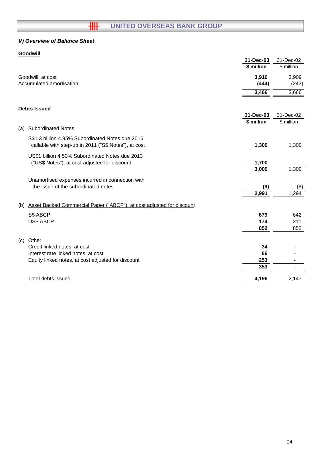# **HILLER OVERSEAS BANK GROUP**

# *V) Overview of Balance Sheet*

# **Goodwill**

|     |                                                                       | 31-Dec-03               | 31-Dec-02               |
|-----|-----------------------------------------------------------------------|-------------------------|-------------------------|
|     |                                                                       | \$ million              | \$ million              |
|     | Goodwill, at cost                                                     | 3,910                   | 3,909                   |
|     | Accumulated amortisation                                              | (444)                   | (243)                   |
|     |                                                                       | 3,466                   | 3,666                   |
|     |                                                                       |                         |                         |
|     | <b>Debts Issued</b>                                                   |                         |                         |
|     |                                                                       | 31-Dec-03<br>\$ million | 31-Dec-02<br>\$ million |
| (a) | <b>Subordinated Notes</b>                                             |                         |                         |
|     | S\$1.3 billion 4.95% Subordinated Notes due 2016                      |                         |                         |
|     | callable with step-up in 2011 ("S\$ Notes"), at cost                  | 1,300                   | 1,300                   |
|     | US\$1 billion 4.50% Subordinated Notes due 2013                       |                         |                         |
|     | ("US\$ Notes"), at cost adjusted for discount                         | 1,700                   |                         |
|     |                                                                       | 3,000                   | 1,300                   |
|     | Unamortised expenses incurred in connection with                      |                         |                         |
|     | the issue of the subordinated notes                                   | (9)                     | (6)                     |
|     |                                                                       | 2,991                   | 1,294                   |
| (b) | Asset Backed Commercial Paper ("ABCP"), at cost adjusted for discount |                         |                         |
|     | S\$ ABCP                                                              | 679                     | 642                     |
|     | US\$ ABCP                                                             | 174                     | 211                     |
|     |                                                                       | 852                     | 852                     |
|     | (c) Other                                                             |                         |                         |
|     | Credit linked notes, at cost                                          | 34                      |                         |
|     | Interest rate linked notes, at cost                                   | 66                      |                         |
|     | Equity linked notes, at cost adjusted for discount                    | 253                     |                         |
|     |                                                                       | 353                     |                         |
|     | Total debts issued                                                    | 4,196                   | 2,147                   |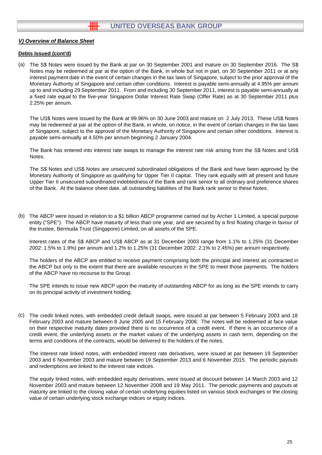#### **Debts Issued (cont'd)**

(a) The S\$ Notes were issued by the Bank at par on 30 September 2001 and mature on 30 September 2016. The S\$ Notes may be redeemed at par at the option of the Bank, in whole but not in part, on 30 September 2011 or at any interest payment date in the event of certain changes in the tax laws of Singapore, subject to the prior approval of the Monetary Authority of Singapore and certain other conditions. Interest is payable semi-annually at 4.95% per annum up to and including 29 September 2011. From and including 30 September 2011, interest is payable semi-annually at a fixed rate equal to the five-year Singapore Dollar Interest Rate Swap (Offer Rate) as at 30 September 2011 plus 2.25% per annum.

The US\$ Notes were issued by the Bank at 99.96% on 30 June 2003 and mature on 2 July 2013. These US\$ Notes may be redeemed at par at the option of the Bank, in whole, on notice, in the event of certain changes in the tax laws of Singapore, subject to the approval of the Monetary Authority of Singapore and certain other conditions. Interest is payable semi-annually at 4.50% per annum beginning 2 January 2004.

The Bank has entered into interest rate swaps to manage the interest rate risk arising from the S\$ Notes and US\$ Notes.

The S\$ Notes and US\$ Notes are unsecured subordinated obligations of the Bank and have been approved by the Monetary Authority of Singapore as qualifying for Upper Tier II capital. They rank equally with all present and future Upper Tier II unsecured subordinated indebtedness of the Bank and rank senior to all ordinary and preference shares of the Bank. At the balance sheet date, all outstanding liabilities of the Bank rank senior to these Notes.

(b) The ABCP were issued in relation to a \$1 billion ABCP programme carried out by Archer 1 Limited, a special purpose entity ("SPE"). The ABCP have maturity of less than one year, and are secured by a first floating charge in favour of the trustee, Bermuda Trust (Singapore) Limited, on all assets of the SPE.

Interest rates of the S\$ ABCP and US\$ ABCP as at 31 December 2003 range from 1.1% to 1.25% (31 December 2002: 1.5% to 1.9%) per annum and 1.2% to 1.25% (31 December 2002: 2.1% to 2.45%) per annum respectively.

The holders of the ABCP are entitled to receive payment comprising both the principal and interest as contracted in the ABCP but only to the extent that there are available resources in the SPE to meet those payments. The holders of the ABCP have no recourse to the Group.

The SPE intends to issue new ABCP upon the maturity of outstanding ABCP for as long as the SPE intends to carry on its principal activity of investment holding.

(c) The credit linked notes, with embedded credit default swaps, were issued at par between 5 February 2003 and 18 February 2003 and mature between 8 June 2005 and 15 February 2008. The notes will be redeemed at face value on their respective maturity dates provided there is no occurrence of a credit event. If there is an occurrence of a credit event, the underlying assets or the market values of the underlying assets in cash term, depending on the terms and conditions of the contracts, would be delivered to the holders of the notes.

The interest rate linked notes, with embedded interest rate derivatives, were issued at par between 19 September 2003 and 6 November 2003 and mature between 19 September 2013 and 6 November 2015. The periodic payouts and redemptions are linked to the interest rate indices.

The equity linked notes, with embedded equity derivatives, were issued at discount between 14 March 2003 and 12 November 2003 and mature between 12 November 2008 and 19 May 2011. The periodic payments and payouts at maturity are linked to the closing value of certain underlying equities listed on various stock exchanges or the closing value of certain underlying stock exchange indices or equity indices.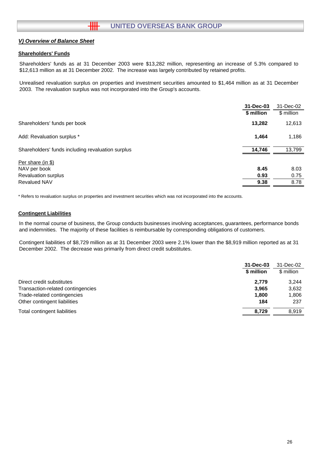## **Shareholders' Funds**

Shareholders' funds as at 31 December 2003 were \$13,282 million, representing an increase of 5.3% compared to \$12,613 million as at 31 December 2002. The increase was largely contributed by retained profits.

Unrealised revaluation surplus on properties and investment securities amounted to \$1,464 million as at 31 December 2003. The revaluation surplus was not incorporated into the Group's accounts.

|                                                   | 31-Dec-03  | 31-Dec-02  |
|---------------------------------------------------|------------|------------|
|                                                   | \$ million | \$ million |
| Shareholders' funds per book                      | 13,282     | 12,613     |
| Add: Revaluation surplus *                        | 1,464      | 1,186      |
| Shareholders' funds including revaluation surplus | 14,746     | 13,799     |
| Per share (in \$)                                 |            |            |
| NAV per book                                      | 8.45       | 8.03       |
| <b>Revaluation surplus</b>                        | 0.93       | 0.75       |
| <b>Revalued NAV</b>                               | 9.38       | 8.78       |

\* Refers to revaluation surplus on properties and investment securities which was not incorporated into the accounts.

#### **Contingent Liabilities**

In the normal course of business, the Group conducts businesses involving acceptances, guarantees, performance bonds and indemnities. The majority of these facilities is reimbursable by corresponding obligations of customers.

Contingent liabilities of \$8,729 million as at 31 December 2003 were 2.1% lower than the \$8,919 million reported as at 31 December 2002. The decrease was primarily from direct credit substitutes.

|                                   | 31-Dec-03  | 31-Dec-02  |
|-----------------------------------|------------|------------|
|                                   | \$ million | \$ million |
| Direct credit substitutes         | 2,779      | 3.244      |
| Transaction-related contingencies | 3,965      | 3,632      |
| Trade-related contingencies       | 1,800      | 1.806      |
| Other contingent liabilities      | 184        | 237        |
| Total contingent liabilities      | 8.729      | 8.919      |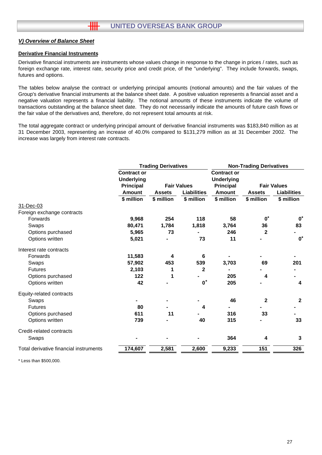#### **Derivative Financial Instruments**

Derivative financial instruments are instruments whose values change in response to the change in prices / rates, such as foreign exchange rate, interest rate, security price and credit price, of the "underlying". They include forwards, swaps, futures and options.

The tables below analyse the contract or underlying principal amounts (notional amounts) and the fair values of the Group's derivative financial instruments at the balance sheet date. A positive valuation represents a financial asset and a negative valuation represents a financial liability. The notional amounts of these instruments indicate the volume of transactions outstanding at the balance sheet date. They do not necessarily indicate the amounts of future cash flows or the fair value of the derivatives and, therefore, do not represent total amounts at risk.

The total aggregate contract or underlying principal amount of derivative financial instruments was \$183,840 million as at 31 December 2003, representing an increase of 40.0% compared to \$131,279 million as at 31 December 2002. The increase was largely from interest rate contracts.

|                                         | <b>Trading Derivatives</b> |                    |                                         | <b>Non-Trading Derivatives</b> |                    |  |
|-----------------------------------------|----------------------------|--------------------|-----------------------------------------|--------------------------------|--------------------|--|
| <b>Contract or</b><br><b>Underlying</b> |                            |                    | <b>Contract or</b><br><b>Underlying</b> |                                |                    |  |
| <b>Principal</b>                        |                            |                    | <b>Principal</b>                        |                                | <b>Fair Values</b> |  |
| <b>Amount</b>                           | <b>Assets</b>              | <b>Liabilities</b> | <b>Amount</b>                           | <b>Assets</b>                  | <b>Liabilities</b> |  |
| \$ million                              | \$ million                 | \$ million         | \$ million                              | \$ million                     | \$ million         |  |
|                                         |                            |                    |                                         |                                |                    |  |
|                                         |                            |                    |                                         |                                |                    |  |
| 9,968                                   | 254                        | 118                | 58                                      | $0^*$                          | $\mathbf{0}^*$     |  |
| 80,471                                  | 1,784                      | 1,818              | 3,764                                   | 36                             | 83                 |  |
| 5,965                                   | 73                         |                    | 246                                     | $\mathbf{2}$                   |                    |  |
| 5,021                                   |                            | 73                 | 11                                      |                                | $\mathbf{0}^*$     |  |
|                                         |                            |                    |                                         |                                |                    |  |
| 11,583                                  | 4                          | 6                  |                                         |                                |                    |  |
| 57,902                                  | 453                        | 539                | 3,703                                   | 69                             | 201                |  |
| 2,103                                   | 1                          | $\mathbf{2}$       |                                         |                                |                    |  |
| 122                                     | 1                          |                    | 205                                     | 4                              |                    |  |
| 42                                      |                            | $\mathbf{0}^*$     | 205                                     |                                | 4                  |  |
|                                         |                            |                    |                                         |                                |                    |  |
|                                         |                            |                    | 46                                      | $\mathbf{2}$                   | $\mathbf{2}$       |  |
| 80                                      |                            | 4                  |                                         |                                |                    |  |
| 611                                     | 11                         |                    | 316                                     | 33                             |                    |  |
| 739                                     |                            | 40                 | 315                                     |                                | 33                 |  |
|                                         |                            |                    |                                         |                                |                    |  |
|                                         |                            |                    | 364                                     | 4                              | $\mathbf{3}$       |  |
| 174,607                                 | 2,581                      | 2,600              | 9,233                                   | 151                            | 326                |  |
|                                         |                            |                    | <b>Fair Values</b>                      |                                |                    |  |

\* Less than \$500,000.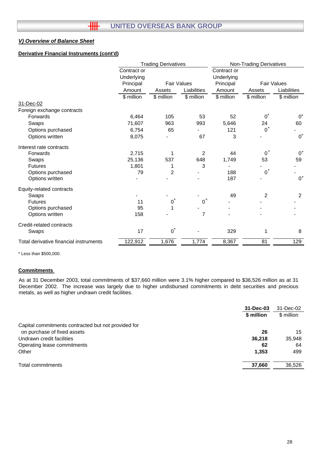## **Derivative Financial Instruments (cont'd)**

|                                        |                           | <b>Trading Derivatives</b> |                |                           | <b>Non-Trading Derivatives</b> |                    |  |
|----------------------------------------|---------------------------|----------------------------|----------------|---------------------------|--------------------------------|--------------------|--|
|                                        | Contract or<br>Underlying |                            |                | Contract or<br>Underlying |                                |                    |  |
|                                        | Principal                 | <b>Fair Values</b>         |                | Principal                 |                                | <b>Fair Values</b> |  |
|                                        | Amount                    | Assets                     | Liabilities    | Amount                    | Assets                         | Liabilities        |  |
|                                        | \$ million                | \$ million                 | \$ million     | \$ million                | \$ million                     | \$ million         |  |
| 31-Dec-02                              |                           |                            |                |                           |                                |                    |  |
| Foreign exchange contracts             |                           |                            |                |                           |                                |                    |  |
| Forwards                               | 6,464                     | 105                        | 53             | 52                        | $0^*$                          | $0^*$              |  |
| Swaps                                  | 71,607                    | 963                        | 993            | 5,646                     | 24                             | 60                 |  |
| Options purchased                      | 6,754                     | 65                         |                | 121                       | $0^*$                          |                    |  |
| Options written                        | 8,075                     |                            | 67             | 3                         |                                | $0^*$              |  |
| Interest rate contracts                |                           |                            |                |                           |                                |                    |  |
| Forwards                               | 2,715                     | 1                          | $\overline{2}$ | 44                        | $\Omega$                       | $0^*$              |  |
| Swaps                                  | 25,136                    | 537                        | 648            | 1,749                     | 53                             | 59                 |  |
| <b>Futures</b>                         | 1,801                     | 1                          | 3              |                           |                                |                    |  |
| Options purchased                      | 79                        | $\overline{2}$             |                | 188                       | $0^*$                          |                    |  |
| Options written                        |                           |                            |                | 187                       |                                | $0^*$              |  |
| Equity-related contracts               |                           |                            |                |                           |                                |                    |  |
| Swaps                                  |                           |                            |                | 49                        | 2                              | $\overline{2}$     |  |
| <b>Futures</b>                         | 11                        | 0                          | 0              |                           |                                |                    |  |
| Options purchased                      | 95                        |                            |                |                           |                                |                    |  |
| Options written                        | 158                       |                            | 7              |                           |                                |                    |  |
| Credit-related contracts               |                           |                            |                |                           |                                |                    |  |
| Swaps                                  | 17                        | $\overline{0}^*$           |                | 329                       | 1                              | 8                  |  |
| Total derivative financial instruments | 122,912                   | 1,676                      | 1,774          | 8,367                     | 81                             | 129                |  |

\* Less than \$500,000.

## **Commitments**

As at 31 December 2003, total commitments of \$37,660 million were 3.1% higher compared to \$36,526 million as at 31 December 2002. The increase was largely due to higher undisbursed commitments in debt securities and precious metals, as well as higher undrawn credit facilities.

|                                                     | 31-Dec-03  | 31-Dec-02  |
|-----------------------------------------------------|------------|------------|
|                                                     | \$ million | \$ million |
| Capital commitments contracted but not provided for |            |            |
| on purchase of fixed assets                         | 26         | 15         |
| Undrawn credit facilities                           | 36,218     | 35,948     |
| Operating lease commitments                         | 62         | 64         |
| Other                                               | 1.353      | 499        |
| Total commitments                                   | 37,660     | 36,526     |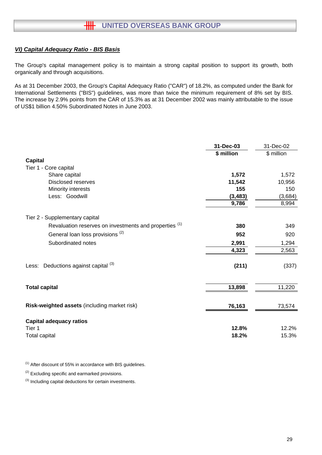## *VI) Capital Adequacy Ratio - BIS Basis*

The Group's capital management policy is to maintain a strong capital position to support its growth, both organically and through acquisitions.

As at 31 December 2003, the Group's Capital Adequacy Ratio ("CAR") of 18.2%, as computed under the Bank for International Settlements ("BIS") guidelines, was more than twice the minimum requirement of 8% set by BIS. The increase by 2.9% points from the CAR of 15.3% as at 31 December 2002 was mainly attributable to the issue of US\$1 billion 4.50% Subordinated Notes in June 2003.

|                                                        | 31-Dec-03  | 31-Dec-02  |
|--------------------------------------------------------|------------|------------|
|                                                        | \$ million | \$ million |
| <b>Capital</b>                                         |            |            |
| Tier 1 - Core capital                                  |            |            |
| Share capital                                          | 1,572      | 1,572      |
| <b>Disclosed reserves</b>                              | 11,542     | 10,956     |
| Minority interests                                     | 155        | 150        |
| Less: Goodwill                                         | (3, 483)   | (3,684)    |
|                                                        | 9,786      | 8,994      |
| Tier 2 - Supplementary capital                         |            |            |
| Revaluation reserves on investments and properties (1) | 380        | 349        |
| General loan loss provisions <sup>(2)</sup>            | 952        | 920        |
| Subordinated notes                                     | 2,991      | 1,294      |
|                                                        | 4,323      | 2,563      |
| Less: Deductions against capital (3)                   | (211)      | (337)      |
| <b>Total capital</b>                                   | 13,898     | 11,220     |
| Risk-weighted assets (including market risk)           | 76,163     | 73,574     |
| <b>Capital adequacy ratios</b>                         |            |            |
| Tier 1                                                 | 12.8%      | 12.2%      |
| <b>Total capital</b>                                   | 18.2%      | 15.3%      |

 $(1)$  After discount of 55% in accordance with BIS guidelines.

<sup>(2)</sup> Excluding specific and earmarked provisions.

(3) Including capital deductions for certain investments.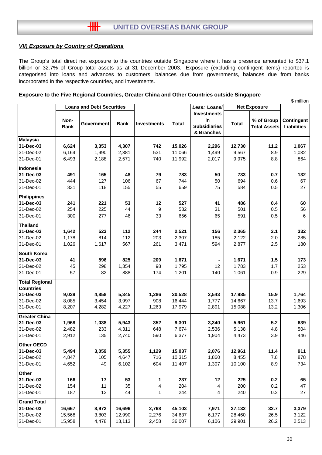## *VII) Exposure by Country of Operations*

The Group's total direct net exposure to the countries outside Singapore where it has a presence amounted to \$37.1 billion or 32.7% of Group total assets as at 31 December 2003. Exposure (excluding contingent items) reported is categorised into loans and advances to customers, balances due from governments, balances due from banks incorporated in the respective countries, and investments.

## **Exposure to the Five Regional Countries, Greater China and Other Countries outside Singapore**

|                              | <b>Loans and Debt Securities</b> |                   |             |                    | Less: Loans/ | <b>Net Exposure</b>                                           | จ million    |                                   |                                  |
|------------------------------|----------------------------------|-------------------|-------------|--------------------|--------------|---------------------------------------------------------------|--------------|-----------------------------------|----------------------------------|
|                              | Non-<br><b>Bank</b>              | <b>Government</b> | <b>Bank</b> | <b>Investments</b> | <b>Total</b> | <b>Investments</b><br>in<br><b>Subsidiaries</b><br>& Branches | <b>Total</b> | % of Group<br><b>Total Assets</b> | Contingent<br><b>Liabilities</b> |
| <b>Malaysia</b>              |                                  |                   |             |                    |              |                                                               |              |                                   |                                  |
| 31-Dec-03                    | 6,624                            | 3,353             | 4,307       | 742                | 15,026       | 2,296                                                         | 12,730       | 11.2                              | 1,067                            |
| 31-Dec-02                    | 6,164                            | 1,990             | 2,381       | 531                | 11,066       | 1,499                                                         | 9,567        | 8.9                               | 1,032                            |
| 31-Dec-01                    | 6,493                            | 2,188             | 2,571       | 740                | 11,992       | 2,017                                                         | 9,975        | 8.8                               | 864                              |
| Indonesia                    |                                  |                   |             |                    |              |                                                               |              |                                   |                                  |
| 31-Dec-03                    | 491                              | 165               | 48          | 79                 | 783          | 50                                                            | 733          | 0.7                               | 132                              |
| 31-Dec-02                    | 444                              | 127               | 106         | 67                 | 744          | 50                                                            | 694          | 0.6                               | 67                               |
| 31-Dec-01                    | 331                              | 118               | 155         | 55                 | 659          | 75                                                            | 584          | 0.5                               | 27                               |
| Philippines                  |                                  |                   |             |                    |              |                                                               |              |                                   |                                  |
| 31-Dec-03                    | 241                              | 221               | 53          | 12                 | 527          | 41                                                            | 486          | 0.4                               | 60                               |
| 31-Dec-02                    | 254                              | 225               | 44          | 9                  | 532          | 31                                                            | 501          | 0.5                               | 56                               |
| 31-Dec-01                    | 300                              | 277               | 46          | 33                 | 656          | 65                                                            | 591          | 0.5                               | $\,6\,$                          |
|                              |                                  |                   |             |                    |              |                                                               |              |                                   |                                  |
| <b>Thailand</b><br>31-Dec-03 | 1,642                            | 523               | 112         | 244                | 2,521        | 156                                                           | 2,365        | 2.1                               | 332                              |
| 31-Dec-02                    | 1,178                            | 814               | 112         | 203                | 2,307        | 185                                                           | 2,122        | 2.0                               | 285                              |
| 31-Dec-01                    | 1,026                            | 1,617             | 567         | 261                | 3,471        | 594                                                           | 2,877        | 2.5                               | 180                              |
|                              |                                  |                   |             |                    |              |                                                               |              |                                   |                                  |
| <b>South Korea</b>           |                                  |                   |             |                    |              |                                                               |              |                                   |                                  |
| 31-Dec-03                    | 41                               | 596               | 825         | 209                | 1,671        |                                                               | 1,671        | 1.5                               | 173                              |
| 31-Dec-02                    | 45                               | 298               | 1,354       | 98                 | 1,795        | 12                                                            | 1,783        | 1.7                               | 253                              |
| 31-Dec-01                    | 57                               | 82                | 888         | 174                | 1,201        | 140                                                           | 1,061        | 0.9                               | 229                              |
| <b>Total Regional</b>        |                                  |                   |             |                    |              |                                                               |              |                                   |                                  |
| <b>Countries</b>             |                                  |                   |             |                    |              |                                                               |              |                                   |                                  |
| 31-Dec-03                    | 9,039                            | 4,858             | 5,345       | 1,286              | 20,528       | 2,543                                                         | 17,985       | 15.9                              | 1,764                            |
| 31-Dec-02                    | 8,085                            | 3,454             | 3,997       | 908                | 16,444       | 1,777                                                         | 14,667       | 13.7                              | 1,693                            |
| 31-Dec-01                    | 8,207                            | 4,282             | 4,227       | 1,263              | 17,979       | 2,891                                                         | 15,088       | 13.2                              | 1,306                            |
| <b>Greater China</b>         |                                  |                   |             |                    |              |                                                               |              |                                   |                                  |
| 31-Dec-03                    | 1,968                            | 1,038             | 5,943       | 352                | 9,301        | 3,340                                                         | 5,961        | 5.2                               | 639                              |
| 31-Dec-02                    | 2,482                            | 233               | 4,311       | 648                | 7,674        | 2,536                                                         | 5,138        | 4.8                               | 504                              |
| 31-Dec-01                    | 2,912                            | 135               | 2,740       | 590                | 6,377        | 1,904                                                         | 4,473        | 3.9                               | 446                              |
| Other OECD                   |                                  |                   |             |                    |              |                                                               |              |                                   |                                  |
| 31-Dec-03                    | 5,494                            | 3,059             | 5,355       | 1,129              | 15,037       | 2,076                                                         | 12,961       | 11.4                              | 911                              |
| 31-Dec-02                    | 4,847                            | 105               | 4,647       | 716                | 10,315       | 1,860                                                         | 8,455        | 7.8                               | 878                              |
| 31-Dec-01                    | 4,652                            | 49                | 6,102       | 604                | 11,407       | 1,307                                                         | 10,100       | 8.9                               | 734                              |
| Other                        |                                  |                   |             |                    |              |                                                               |              |                                   |                                  |
| 31-Dec-03                    | 166                              | 17                | 53          | 1                  | 237          | 12                                                            | 225          | 0.2                               | 65                               |
| 31-Dec-02                    | 154                              | 11                | 35          | 4                  | 204          | 4                                                             | 200          | 0.2                               | 47                               |
| 31-Dec-01                    | 187                              | 12                | 44          | 1                  | 244          | 4                                                             | 240          | 0.2                               | 27                               |
| <b>Grand Total</b>           |                                  |                   |             |                    |              |                                                               |              |                                   |                                  |
| 31-Dec-03                    | 16,667                           | 8,972             | 16,696      | 2,768              | 45,103       | 7,971                                                         | 37,132       | 32.7                              | 3,379                            |
| 31-Dec-02                    | 15,568                           | 3,803             | 12,990      | 2,276              | 34,637       | 6,177                                                         | 28,460       | 26.5                              | 3,122                            |
| 31-Dec-01                    | 15,958                           | 4,478             | 13,113      | 2,458              | 36,007       | 6,106                                                         | 29,901       | 26.2                              | 2,513                            |
|                              |                                  |                   |             |                    |              |                                                               |              |                                   |                                  |

 $\ddot{\bullet}$  million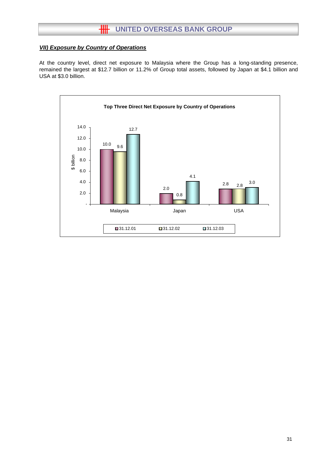# **HH** UNITED OVERSEAS BANK GROUP

## *VII) Exposure by Country of Operations*

At the country level, direct net exposure to Malaysia where the Group has a long-standing presence, remained the largest at \$12.7 billion or 11.2% of Group total assets, followed by Japan at \$4.1 billion and USA at \$3.0 billion.

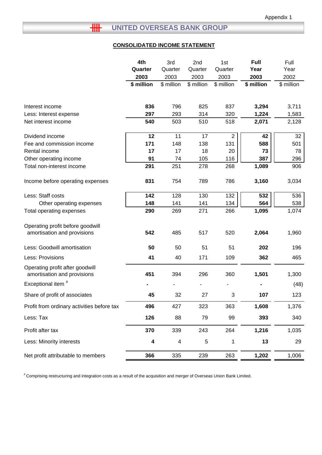# **HH UNITED OVERSEAS BANK GROUP**

# **CONSOLIDATED INCOME STATEMENT**

|                                                                | 4th        | 3rd        | 2nd        | 1st            | Full           | Full           |
|----------------------------------------------------------------|------------|------------|------------|----------------|----------------|----------------|
|                                                                | Quarter    | Quarter    | Quarter    | Quarter        | Year           | Year           |
|                                                                | 2003       | 2003       | 2003       | 2003           | 2003           | 2002           |
|                                                                | \$ million | \$ million | \$ million | \$ million     | \$ million     | \$ million     |
|                                                                |            | 796        |            |                |                |                |
| Interest income<br>Less: Interest expense                      | 836<br>297 | 293        | 825<br>314 | 837<br>320     | 3,294<br>1,224 | 3,711<br>1,583 |
| Net interest income                                            | 540        | 503        | 510        | 518            | 2,071          | 2,128          |
|                                                                |            |            |            |                |                |                |
| Dividend income                                                | 12         | 11         | 17         | $\overline{c}$ | 42             | 32             |
| Fee and commission income                                      | 171        | 148        | 138        | 131            | 588            | 501            |
| Rental income                                                  | 17         | 17         | 18         | 20             | 73             | 78             |
| Other operating income                                         | 91         | 74         | 105        | 116            | 387            | 296            |
| Total non-interest income                                      | 291        | 251        | 278        | 268            | 1,089          | 906            |
| Income before operating expenses                               | 831        | 754        | 789        | 786            | 3,160          | 3,034          |
| Less: Staff costs                                              | 142        | 128        | 130        | 132            | 532            | 536            |
| Other operating expenses                                       | 148        | 141        | 141        | 134            | 564            | 538            |
| Total operating expenses                                       | 290        | 269        | 271        | 266            | 1,095          | 1,074          |
| Operating profit before goodwill                               |            |            |            |                |                |                |
| amortisation and provisions                                    | 542        | 485        | 517        | 520            | 2,064          | 1,960          |
| Less: Goodwill amortisation                                    | 50         | 50         | 51         | 51             | 202            | 196            |
| Less: Provisions                                               | 41         | 40         | 171        | 109            | 362            | 465            |
| Operating profit after goodwill<br>amortisation and provisions | 451        | 394        | 296        | 360            | 1,501          | 1,300          |
| Exceptional item <sup>#</sup>                                  |            |            |            |                |                | (48)           |
| Share of profit of associates                                  | 45         | 32         | 27         | 3              | 107            | 123            |
| Profit from ordinary activities before tax                     | 496        | 427        | 323        | 363            | 1,608          | 1,376          |
| Less: Tax                                                      | 126        | 88         | 79         | 99             | 393            | 340            |
| Profit after tax                                               | 370        | 339        | 243        | 264            | 1,216          | 1,035          |
| Less: Minority interests                                       | 4          | 4          | 5          | 1              | 13             | 29             |
| Net profit attributable to members                             | 366        | 335        | 239        | 263            | 1,202          | 1,006          |

# Comprising restructuring and integration costs as a result of the acquisition and merger of Overseas Union Bank Limited.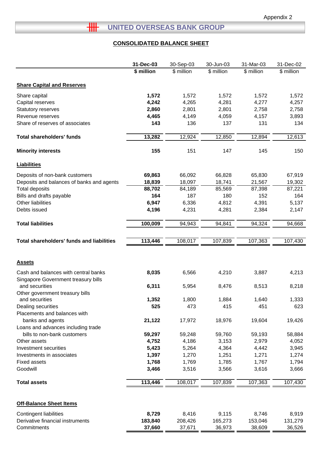# **THE UNITED OVERSEAS BANK GROUP**

# **CONSOLIDATED BALANCE SHEET**

|                                                  | 31-Dec-03  | 30-Sep-03  | 30-Jun-03  | 31-Mar-03  | 31-Dec-02  |
|--------------------------------------------------|------------|------------|------------|------------|------------|
|                                                  | \$ million | \$ million | \$ million | \$ million | \$ million |
|                                                  |            |            |            |            |            |
| <b>Share Capital and Reserves</b>                |            |            |            |            |            |
| Share capital                                    | 1,572      | 1,572      | 1,572      | 1,572      | 1,572      |
| Capital reserves                                 | 4,242      | 4,265      | 4,281      | 4,277      | 4,257      |
| Statutory reserves                               | 2,860      | 2,801      | 2,801      | 2,758      | 2,758      |
| Revenue reserves                                 | 4,465      | 4,149      | 4,059      | 4,157      | 3,893      |
| Share of reserves of associates                  | 143        | 136        | 137        | 131        | 134        |
| <b>Total shareholders' funds</b>                 | 13,282     | 12,924     | 12,850     | 12,894     | 12,613     |
| <b>Minority interests</b>                        | 155        | 151        | 147        | 145        | 150        |
| <b>Liabilities</b>                               |            |            |            |            |            |
| Deposits of non-bank customers                   | 69,863     | 66,092     | 66,828     | 65,830     | 67,919     |
| Deposits and balances of banks and agents        | 18,839     | 18,097     | 18,741     | 21,567     | 19,302     |
| <b>Total deposits</b>                            | 88,702     | 84,189     | 85,569     | 87,398     | 87,221     |
| Bills and drafts payable                         | 164        | 187        | 180        | 152        | 164        |
| Other liabilities                                | 6,947      | 6,336      | 4,812      | 4,391      | 5,137      |
| Debts issued                                     | 4,196      | 4,231      | 4,281      | 2,384      | 2,147      |
|                                                  |            |            |            |            |            |
| <b>Total liabilities</b>                         | 100,009    | 94,943     | 94,841     | 94,324     | 94,668     |
|                                                  |            |            |            |            |            |
| <b>Total shareholders' funds and liabilities</b> | 113,446    | 108,017    | 107,839    | 107,363    | 107,430    |
|                                                  |            |            |            |            |            |
|                                                  |            |            |            |            |            |
| <b>Assets</b>                                    |            |            |            |            |            |
| Cash and balances with central banks             | 8,035      | 6,566      | 4,210      | 3,887      | 4,213      |
| Singapore Government treasury bills              |            |            |            |            |            |
| and securities                                   | 6,311      | 5,954      | 8,476      | 8,513      | 8,218      |
| Other government treasury bills                  |            |            |            |            |            |
| and securities                                   | 1,352      | 1,800      | 1,884      | 1,640      | 1,333      |
| Dealing securities                               | 525        | 473        | 415        | 451        | 623        |
| Placements and balances with                     |            |            |            |            |            |
| banks and agents                                 | 21,122     | 17,972     | 18,976     | 19,604     | 19,426     |
| Loans and advances including trade               |            |            |            |            |            |
| bills to non-bank customers                      | 59,297     | 59,248     | 59,760     | 59,193     | 58,884     |
| Other assets                                     | 4,752      | 4,186      | 3,153      | 2,979      | 4,052      |
| Investment securities                            | 5,423      | 5,264      | 4,364      | 4,442      | 3,945      |
| Investments in associates                        | 1,397      | 1,270      | 1,251      | 1,271      | 1,274      |
| <b>Fixed assets</b>                              | 1,768      | 1,769      | 1,785      | 1,767      | 1,794      |
| Goodwill                                         | 3,466      | 3,516      | 3,566      | 3,616      | 3,666      |
| <b>Total assets</b>                              | 113,446    | 108,017    | 107,839    | 107,363    | 107,430    |
|                                                  |            |            |            |            |            |
| <b>Off-Balance Sheet Items</b>                   |            |            |            |            |            |
| Contingent liabilities                           | 8,729      | 8,416      | 9,115      | 8,746      | 8,919      |
| Derivative financial instruments                 | 183,840    | 208,426    | 165,273    | 153,046    | 131,279    |
| Commitments                                      | 37,660     | 37,671     | 36,973     | 38,609     | 36,526     |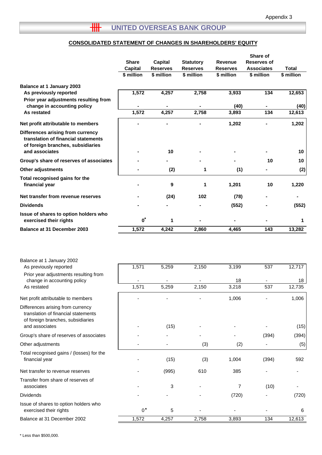# **HILLER OVERSEAS BANK GROUP**

## **CONSOLIDATED STATEMENT OF CHANGES IN SHAREHOLDERS' EQUITY**

|                                                                                                                                            | <b>Share</b><br><b>Capital</b><br>\$ million | Capital<br><b>Reserves</b><br>\$ million | <b>Statutory</b><br><b>Reserves</b><br>\$ million | <b>Revenue</b><br><b>Reserves</b><br>\$ million | Share of<br><b>Reserves of</b><br><b>Associates</b><br>\$ million | <b>Total</b><br>\$ million |
|--------------------------------------------------------------------------------------------------------------------------------------------|----------------------------------------------|------------------------------------------|---------------------------------------------------|-------------------------------------------------|-------------------------------------------------------------------|----------------------------|
| <b>Balance at 1 January 2003</b>                                                                                                           |                                              |                                          |                                                   |                                                 |                                                                   |                            |
| As previously reported                                                                                                                     | 1,572                                        | 4,257                                    | 2,758                                             | 3,933                                           | 134                                                               | 12,653                     |
| Prior year adjustments resulting from<br>change in accounting policy                                                                       |                                              |                                          |                                                   | (40)                                            |                                                                   | (40)                       |
| As restated                                                                                                                                | 1,572                                        | 4,257                                    | 2,758                                             | 3,893                                           | 134                                                               | 12,613                     |
| Net profit attributable to members                                                                                                         |                                              |                                          |                                                   | 1,202                                           |                                                                   | 1,202                      |
| Differences arising from currency<br>translation of financial statements<br>of foreign branches, subsidiaries<br>and associates            |                                              | 10                                       |                                                   |                                                 |                                                                   | 10                         |
| Group's share of reserves of associates                                                                                                    |                                              |                                          |                                                   |                                                 | 10                                                                | 10                         |
| <b>Other adjustments</b>                                                                                                                   |                                              | (2)                                      | 1                                                 | (1)                                             |                                                                   | (2)                        |
| Total recognised gains for the<br>financial year                                                                                           |                                              | 9                                        | 1                                                 | 1,201                                           | 10                                                                | 1,220                      |
| Net transfer from revenue reserves                                                                                                         |                                              | (24)                                     | 102                                               | (78)                                            |                                                                   |                            |
| <b>Dividends</b>                                                                                                                           |                                              |                                          |                                                   | (552)                                           |                                                                   | (552)                      |
| Issue of shares to option holders who<br>exercised their rights                                                                            | $\boldsymbol{0}^*$                           | 1                                        |                                                   |                                                 |                                                                   | 1                          |
| <b>Balance at 31 December 2003</b>                                                                                                         | 1,572                                        | 4,242                                    | 2,860                                             | 4,465                                           | 143                                                               | 13,282                     |
| Balance at 1 January 2002<br>As previously reported<br>Prior year adjustments resulting from<br>change in accounting policy<br>As restated | 1,571<br>1,571                               | 5,259<br>5,259                           | 2,150<br>2,150                                    | 3,199<br>18<br>3,218                            | 537<br>537                                                        | 12,717<br>18<br>12,735     |
| Net profit attributable to members                                                                                                         |                                              |                                          |                                                   |                                                 |                                                                   | 1,006                      |
| Differences arising from currency<br>translation of financial statements<br>of foreign branches, subsidiaries<br>and associates            |                                              | (15)                                     |                                                   | 1,006                                           |                                                                   | (15)                       |
| Group's share of reserves of associates                                                                                                    |                                              |                                          |                                                   |                                                 | (394)                                                             | (394)                      |
| Other adjustments                                                                                                                          |                                              |                                          | (3)                                               | (2)                                             |                                                                   | (5)                        |
| Total recognised gains / (losses) for the<br>financial year                                                                                |                                              | (15)                                     | (3)                                               | 1,004                                           | (394)                                                             | 592                        |
| Net transfer to revenue reserves                                                                                                           |                                              | (995)                                    | 610                                               | 385                                             |                                                                   |                            |
| Transfer from share of reserves of<br>associates                                                                                           |                                              | 3                                        |                                                   | 7                                               | (10)                                                              |                            |
| <b>Dividends</b>                                                                                                                           |                                              |                                          |                                                   | (720)                                           |                                                                   | (720)                      |
| Issue of shares to option holders who<br>exercised their rights                                                                            | $0^*$                                        | 5                                        |                                                   |                                                 |                                                                   | 6                          |
| Balance at 31 December 2002                                                                                                                | 1,572                                        | 4,257                                    | 2,758                                             | 3,893                                           | 134                                                               | 12,613                     |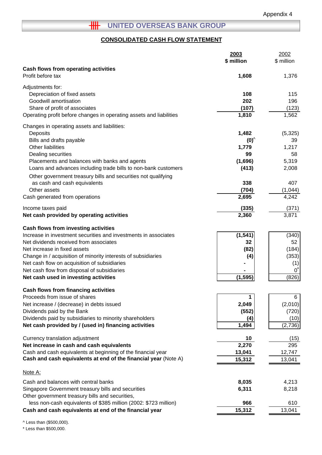# **HH** UNITED OVERSEAS BANK GROUP

# **CONSOLIDATED CASH FLOW STATEMENT**

|                                                                                                                                 | 2003<br>\$ million | 2002<br>\$ million |
|---------------------------------------------------------------------------------------------------------------------------------|--------------------|--------------------|
| Cash flows from operating activities                                                                                            |                    |                    |
| Profit before tax                                                                                                               | 1,608              | 1,376              |
| Adjustments for:                                                                                                                |                    |                    |
| Depreciation of fixed assets                                                                                                    | 108                | 115                |
| Goodwill amortisation                                                                                                           | 202                | 196                |
| Share of profit of associates                                                                                                   | (107)              | (123)              |
| Operating profit before changes in operating assets and liabilities                                                             | 1,810              | 1,562              |
| Changes in operating assets and liabilities:                                                                                    |                    |                    |
| Deposits                                                                                                                        | 1,482              | (5,325)            |
| Bills and drafts payable                                                                                                        | $(0)^{^{\wedge}}$  | 39                 |
| Other liabilities                                                                                                               | 1,779<br>99        | 1,217<br>58        |
| Dealing securities<br>Placements and balances with banks and agents                                                             | (1,696)            | 5,319              |
| Loans and advances including trade bills to non-bank customers                                                                  | (413)              | 2,008              |
| Other government treasury bills and securities not qualifying                                                                   |                    |                    |
| as cash and cash equivalents                                                                                                    | 338                | 407                |
| Other assets                                                                                                                    | (704)              | (1,044)            |
| Cash generated from operations                                                                                                  | 2,695              | 4,242              |
| Income taxes paid                                                                                                               | (335)              | (371)              |
| Net cash provided by operating activities                                                                                       | 2,360              | 3,871              |
| <b>Cash flows from investing activities</b>                                                                                     |                    |                    |
| Increase in investment securities and investments in associates                                                                 | (1, 541)           | (340)              |
| Net dividends received from associates                                                                                          | 32                 | 52                 |
| Net increase in fixed assets                                                                                                    | (82)               | (184)              |
| Change in / acquisition of minority interests of subsidiaries                                                                   | (4)                | (353)              |
| Net cash flow on acquisition of subsidiaries                                                                                    |                    | (1)                |
| Net cash flow from disposal of subsidiaries                                                                                     |                    | 0                  |
| Net cash used in investing activities                                                                                           | (1, 595)           | (826)              |
| <b>Cash flows from financing activities</b>                                                                                     |                    |                    |
| Proceeds from issue of shares                                                                                                   |                    | 6                  |
| Net increase / (decrease) in debts issued<br>Dividends paid by the Bank                                                         | 2,049<br>(552)     | (2,010)<br>(720)   |
| Dividends paid by subsidiaries to minority shareholders                                                                         | (4)                | (10)               |
| Net cash provided by / (used in) financing activities                                                                           | 1,494              | (2,736)            |
|                                                                                                                                 |                    |                    |
| Currency translation adjustment                                                                                                 | 10                 | (15)               |
| Net increase in cash and cash equivalents                                                                                       | 2,270              | 295                |
| Cash and cash equivalents at beginning of the financial year<br>Cash and cash equivalents at end of the financial year (Note A) | 13,041             | 12,747             |
|                                                                                                                                 | 15,312             | 13,041             |
| <u>Note A:</u>                                                                                                                  |                    |                    |
| Cash and balances with central banks                                                                                            | 8,035              | 4,213              |
| Singapore Government treasury bills and securities                                                                              | 6,311              | 8,218              |
| Other government treasury bills and securities,                                                                                 |                    |                    |
| less non-cash equivalents of \$385 million (2002: \$723 million)                                                                | 966                | 610                |
| Cash and cash equivalents at end of the financial year                                                                          | 15,312             | 13,041             |

^ Less than (\$500,000).

\* Less than \$500,000.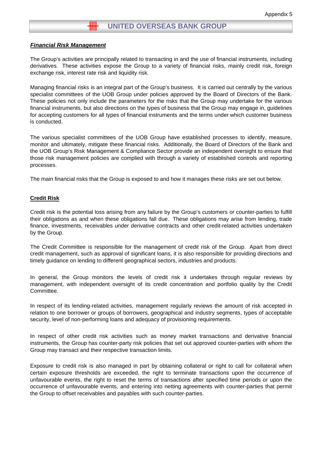### *Financial Risk Management*

The Group's activities are principally related to transacting in and the use of financial instruments, including derivatives. These activities expose the Group to a variety of financial risks, mainly credit risk, foreign exchange risk, interest rate risk and liquidity risk.

Managing financial risks is an integral part of the Group's business. It is carried out centrally by the various specialist committees of the UOB Group under policies approved by the Board of Directors of the Bank. These policies not only include the parameters for the risks that the Group may undertake for the various financial instruments, but also directions on the types of business that the Group may engage in, guidelines for accepting customers for all types of financial instruments and the terms under which customer business is conducted.

The various specialist committees of the UOB Group have established processes to identify, measure, monitor and ultimately, mitigate these financial risks. Additionally, the Board of Directors of the Bank and the UOB Group's Risk Management & Compliance Sector provide an independent oversight to ensure that those risk management policies are complied with through a variety of established controls and reporting processes.

The main financial risks that the Group is exposed to and how it manages these risks are set out below.

#### **Credit Risk**

Credit risk is the potential loss arising from any failure by the Group's customers or counter-parties to fulfill their obligations as and when these obligations fall due. These obligations may arise from lending, trade finance, investments, receivables under derivative contracts and other credit-related activities undertaken by the Group.

The Credit Committee is responsible for the management of credit risk of the Group. Apart from direct credit management, such as approval of significant loans, it is also responsible for providing directions and timely guidance on lending to different geographical sectors, industries and products.

In general, the Group monitors the levels of credit risk it undertakes through regular reviews by management, with independent oversight of its credit concentration and portfolio quality by the Credit Committee.

In respect of its lending-related activities, management regularly reviews the amount of risk accepted in relation to one borrower or groups of borrowers, geographical and industry segments, types of acceptable security, level of non-performing loans and adequacy of provisioning requirements.

In respect of other credit risk activities such as money market transactions and derivative financial instruments, the Group has counter-party risk policies that set out approved counter-parties with whom the Group may transact and their respective transaction limits.

Exposure to credit risk is also managed in part by obtaining collateral or right to call for collateral when certain exposure thresholds are exceeded, the right to terminate transactions upon the occurrence of unfavourable events, the right to reset the terms of transactions after specified time periods or upon the occurrence of unfavourable events, and entering into netting agreements with counter-parties that permit the Group to offset receivables and payables with such counter-parties.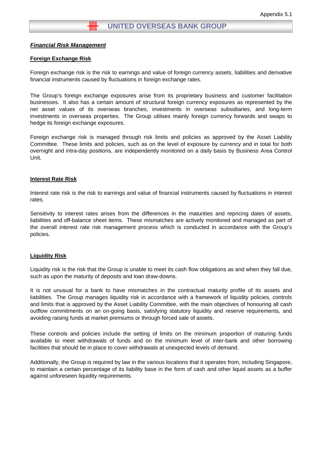### *Financial Risk Management*

#### **Foreign Exchange Risk**

Foreign exchange risk is the risk to earnings and value of foreign currency assets, liabilities and derivative financial instruments caused by fluctuations in foreign exchange rates.

The Group's foreign exchange exposures arise from its proprietary business and customer facilitation businesses. It also has a certain amount of structural foreign currency exposures as represented by the net asset values of its overseas branches, investments in overseas subsidiaries, and long-term investments in overseas properties. The Group utilises mainly foreign currency forwards and swaps to hedge its foreign exchange exposures.

Foreign exchange risk is managed through risk limits and policies as approved by the Asset Liability Committee. These limits and policies, such as on the level of exposure by currency and in total for both overnight and intra-day positions, are independently monitored on a daily basis by Business Area Control Unit.

#### **Interest Rate Risk**

Interest rate risk is the risk to earnings and value of financial instruments caused by fluctuations in interest rates.

Sensitivity to interest rates arises from the differences in the maturities and repricing dates of assets, liabilities and off-balance sheet items. These mismatches are actively monitored and managed as part of the overall interest rate risk management process which is conducted in accordance with the Group's policies.

#### **Liquidity Risk**

Liquidity risk is the risk that the Group is unable to meet its cash flow obligations as and when they fall due, such as upon the maturity of deposits and loan draw-downs.

It is not unusual for a bank to have mismatches in the contractual maturity profile of its assets and liabilities. The Group manages liquidity risk in accordance with a framework of liquidity policies, controls and limits that is approved by the Asset Liability Committee, with the main objectives of honouring all cash outflow commitments on an on-going basis, satisfying statutory liquidity and reserve requirements, and avoiding raising funds at market premiums or through forced sale of assets.

These controls and policies include the setting of limits on the minimum proportion of maturing funds available to meet withdrawals of funds and on the minimum level of inter-bank and other borrowing facilities that should be in place to cover withdrawals at unexpected levels of demand.

Additionally, the Group is required by law in the various locations that it operates from, including Singapore, to maintain a certain percentage of its liability base in the form of cash and other liquid assets as a buffer against unforeseen liquidity requirements.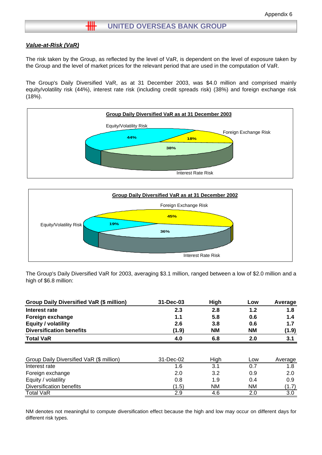## *Value-at-Risk (VaR)*

The risk taken by the Group, as reflected by the level of VaR, is dependent on the level of exposure taken by the Group and the level of market prices for the relevant period that are used in the computation of VaR.

The Group's Daily Diversified VaR, as at 31 December 2003, was \$4.0 million and comprised mainly equity/volatility risk (44%), interest rate risk (including credit spreads risk) (38%) and foreign exchange risk (18%).





The Group's Daily Diversified VaR for 2003, averaging \$3.1 million, ranged between a low of \$2.0 million and a high of \$6.8 million:

| Group Daily Diversified VaR (\$ million) | 31-Dec-03 | High      | Low       | Average |
|------------------------------------------|-----------|-----------|-----------|---------|
| Interest rate                            | 2.3       | 2.8       | 1.2       | 1.8     |
| Foreign exchange                         | 1.1       | 5.8       | 0.6       | 1.4     |
| <b>Equity / volatility</b>               | 2.6       | 3.8       | 0.6       | 1.7     |
| <b>Diversification benefits</b>          | (1.9)     | <b>NM</b> | <b>NM</b> | (1.9)   |
| <b>Total VaR</b>                         | 4.0       | 6.8       | 2.0       | 3.1     |
|                                          |           |           |           |         |
| Group Daily Diversified VaR (\$ million) | 31-Dec-02 | High      | Low       | Average |
| Interest rate                            | 1.6       | 3.1       | 0.7       | 1.8     |
| Foreign exchange                         | 2.0       | 3.2       | 0.9       | 2.0     |
| Equity / volatility                      | 0.8       | 1.9       | 0.4       | 0.9     |
| Diversification benefits                 | (1.5)     | <b>NM</b> | ΝM        | (1.7)   |
| <b>Total VaR</b>                         | 2.9       | 4.6       | 2.0       | 3.0     |

NM denotes not meaningful to compute diversification effect because the high and low may occur on different days for different risk types.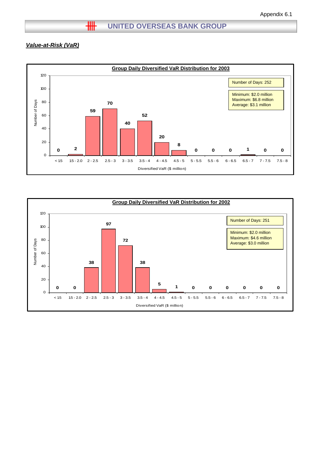## *Value-at-Risk (VaR)*